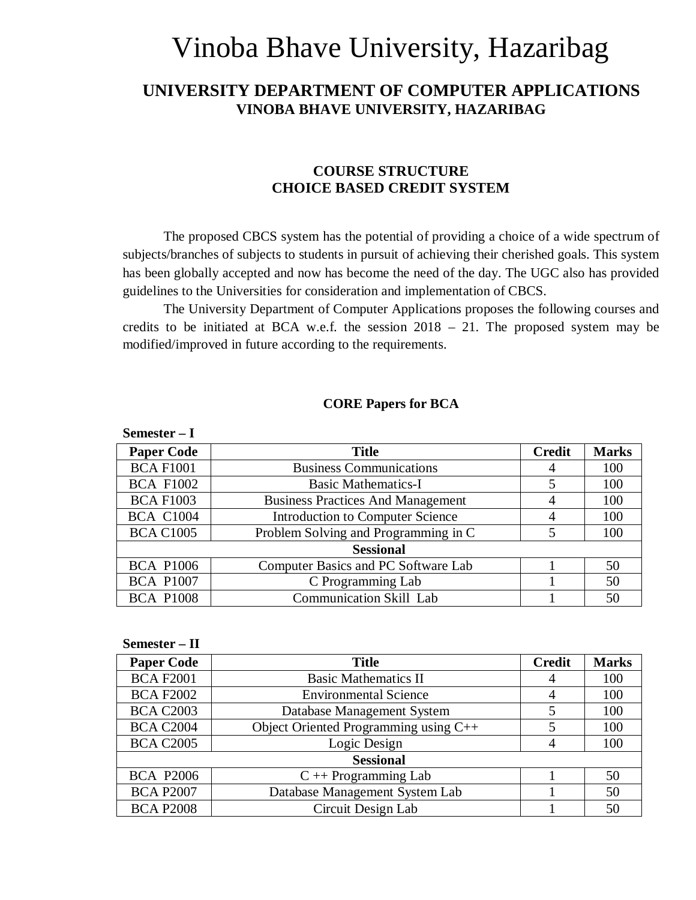# Vinoba Bhave University, Hazaribag

## **UNIVERSITY DEPARTMENT OF COMPUTER APPLICATIONS VINOBA BHAVE UNIVERSITY, HAZARIBAG**

## **COURSE STRUCTURE CHOICE BASED CREDIT SYSTEM**

The proposed CBCS system has the potential of providing a choice of a wide spectrum of subjects/branches of subjects to students in pursuit of achieving their cherished goals. This system has been globally accepted and now has become the need of the day. The UGC also has provided guidelines to the Universities for consideration and implementation of CBCS.

The University Department of Computer Applications proposes the following courses and credits to be initiated at BCA w.e.f. the session  $2018 - 21$ . The proposed system may be modified/improved in future according to the requirements.

#### **CORE Papers for BCA**

| Semester $-1$     |                                          |               |              |
|-------------------|------------------------------------------|---------------|--------------|
| <b>Paper Code</b> | <b>Title</b>                             | <b>Credit</b> | <b>Marks</b> |
| <b>BCA F1001</b>  | <b>Business Communications</b>           | 4             | 100          |
| <b>BCA F1002</b>  | <b>Basic Mathematics-I</b>               | 5             | 100          |
| <b>BCA F1003</b>  | <b>Business Practices And Management</b> | 4             | 100          |
| <b>BCA C1004</b>  | <b>Introduction to Computer Science</b>  |               | 100          |
| <b>BCA C1005</b>  | Problem Solving and Programming in C     | 5             | 100          |
|                   | <b>Sessional</b>                         |               |              |
| <b>BCA P1006</b>  | Computer Basics and PC Software Lab      |               | 50           |
| <b>BCA P1007</b>  | C Programming Lab                        |               | 50           |
| <b>BCA P1008</b>  | <b>Communication Skill Lab</b>           |               | 50           |

| Semester - II     |                                       |               |              |
|-------------------|---------------------------------------|---------------|--------------|
| <b>Paper Code</b> | <b>Title</b>                          | <b>Credit</b> | <b>Marks</b> |
| <b>BCA F2001</b>  | <b>Basic Mathematics II</b>           | 4             | 100          |
| <b>BCA F2002</b>  | <b>Environmental Science</b>          | 4             | 100          |
| <b>BCA C2003</b>  | Database Management System            | 5             | 100          |
| <b>BCA C2004</b>  | Object Oriented Programming using C++ | 5             | 100          |
| <b>BCA C2005</b>  | Logic Design                          | 4             | 100          |
|                   | <b>Sessional</b>                      |               |              |
| <b>BCA P2006</b>  | $C \rightarrow$ Programming Lab       |               | 50           |
| <b>BCA P2007</b>  | Database Management System Lab        |               | 50           |
| <b>BCA P2008</b>  | Circuit Design Lab                    |               | 50           |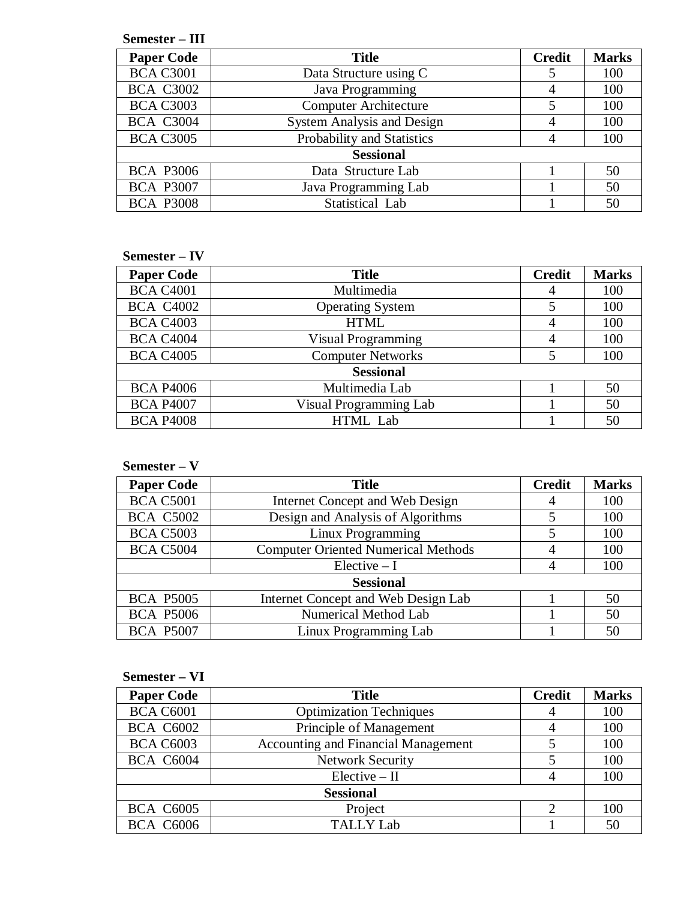| Semester – III |  |
|----------------|--|
|----------------|--|

| <b>Paper Code</b> | <b>Title</b>                      |   |     |  |
|-------------------|-----------------------------------|---|-----|--|
| <b>BCA C3001</b>  | Data Structure using C            | 5 | 100 |  |
| <b>BCA C3002</b>  | Java Programming                  | 4 | 100 |  |
| <b>BCA C3003</b>  | <b>Computer Architecture</b>      | 5 | 100 |  |
| <b>BCA C3004</b>  | <b>System Analysis and Design</b> | 4 | 100 |  |
| <b>BCA C3005</b>  | Probability and Statistics        |   | 100 |  |
|                   | <b>Sessional</b>                  |   |     |  |
| <b>BCA P3006</b>  | Data Structure Lab                |   | 50  |  |
| <b>BCA P3007</b>  | Java Programming Lab              |   | 50  |  |
| <b>BCA P3008</b>  | Statistical Lab                   |   | 50  |  |

## **Semester – IV**

| <b>Paper Code</b> | <b>Title</b>             | <b>Credit</b> | <b>Marks</b> |
|-------------------|--------------------------|---------------|--------------|
| <b>BCA C4001</b>  | Multimedia               |               | 100          |
| <b>BCA C4002</b>  | <b>Operating System</b>  | 5             | 100          |
| <b>BCA C4003</b>  | <b>HTML</b>              |               | 100          |
| <b>BCA C4004</b>  | Visual Programming       |               | 100          |
| <b>BCA C4005</b>  | <b>Computer Networks</b> | 5             | 100          |
|                   | <b>Sessional</b>         |               |              |
| <b>BCA P4006</b>  | Multimedia Lab           |               | 50           |
| <b>BCA P4007</b>  | Visual Programming Lab   |               | 50           |
| <b>BCA P4008</b>  | HTML Lab                 |               | 50           |

## **Semester – V**

| <b>Paper Code</b> | <b>Title</b>                               | <b>Credit</b> | <b>Marks</b> |
|-------------------|--------------------------------------------|---------------|--------------|
| <b>BCA C5001</b>  | Internet Concept and Web Design            |               | 100          |
| <b>BCA C5002</b>  | Design and Analysis of Algorithms          | 5             | 100          |
| <b>BCA C5003</b>  | Linux Programming                          | 5             | 100          |
| <b>BCA C5004</b>  | <b>Computer Oriented Numerical Methods</b> |               | 100          |
|                   | $Electric - I$                             |               | 100          |
| <b>Sessional</b>  |                                            |               |              |
| <b>BCA P5005</b>  | Internet Concept and Web Design Lab        |               | 50           |
| <b>BCA P5006</b>  | Numerical Method Lab                       |               | 50           |
| <b>BCA P5007</b>  | Linux Programming Lab                      |               | 50           |

## **Semester – VI**

| <b>Paper Code</b> | <b>Title</b>                               | <b>Credit</b> | <b>Marks</b> |
|-------------------|--------------------------------------------|---------------|--------------|
| <b>BCA C6001</b>  | <b>Optimization Techniques</b>             | 4             | 100          |
| <b>BCA C6002</b>  | Principle of Management                    | 4             | 100          |
| <b>BCA C6003</b>  | <b>Accounting and Financial Management</b> |               | 100          |
| <b>BCA C6004</b>  | <b>Network Security</b>                    |               | 100          |
|                   | $Electric - II$                            |               | 100          |
|                   | <b>Sessional</b>                           |               |              |
| <b>BCA C6005</b>  | Project                                    |               | 100          |
| <b>BCA C6006</b>  | <b>TALLY Lab</b>                           |               | 50           |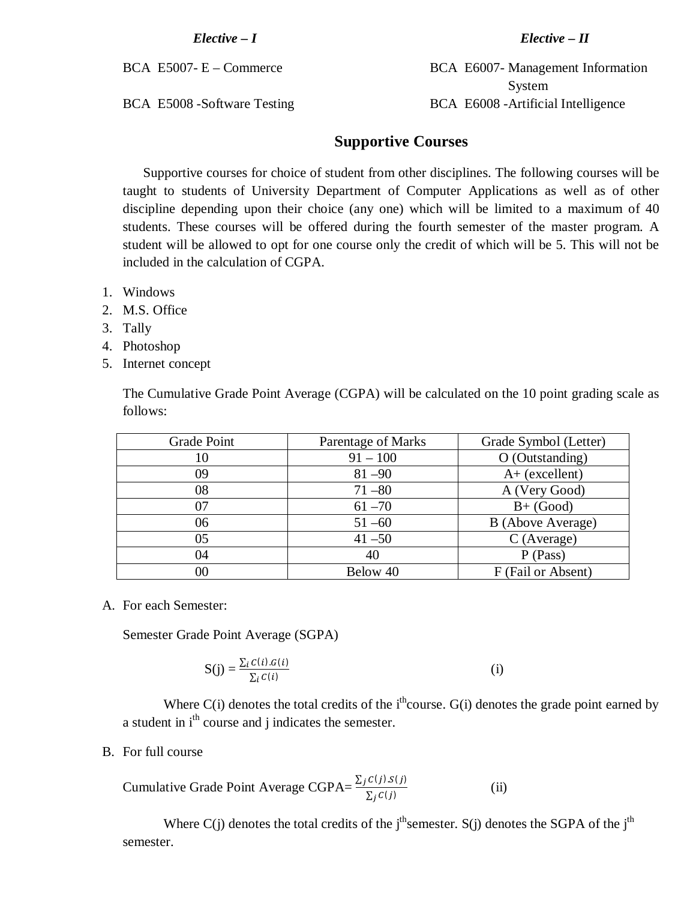*Elective – I Elective – II*

BCA E5007- E – Commerce BCA E6007- Management Information System BCA E5008 -Software Testing BCA E6008 -Artificial Intelligence

## **Supportive Courses**

Supportive courses for choice of student from other disciplines. The following courses will be taught to students of University Department of Computer Applications as well as of other discipline depending upon their choice (any one) which will be limited to a maximum of 40 students. These courses will be offered during the fourth semester of the master program. A student will be allowed to opt for one course only the credit of which will be 5. This will not be included in the calculation of CGPA.

- 1. Windows
- 2. M.S. Office
- 3. Tally
- 4. Photoshop
- 5. Internet concept

The Cumulative Grade Point Average (CGPA) will be calculated on the 10 point grading scale as follows:

| Grade Point | Parentage of Marks | Grade Symbol (Letter) |
|-------------|--------------------|-----------------------|
| 10          | $91 - 100$         | O (Outstanding)       |
| 09          | $81 - 90$          | $A+$ (excellent)      |
| 08          | $71 - 80$          | A (Very Good)         |
| 07          | $61 - 70$          | $B+$ (Good)           |
| 06          | $51 - 60$          | B (Above Average)     |
| 05          | $41 - 50$          | $C$ (Average)         |
| 04          | 40                 | P (Pass)              |
| $00\,$      | Below 40           | F (Fail or Absent)    |

A. For each Semester:

Semester Grade Point Average (SGPA)

$$
S(j) = \frac{\sum_{i} C(i).G(i)}{\sum_{i} C(i)} \tag{i}
$$

Where  $C(i)$  denotes the total credits of the i<sup>th</sup>course.  $G(i)$  denotes the grade point earned by a student in i<sup>th</sup> course and j indicates the semester.

B. For full course

Cumulative Grade Point Average CGPA= $\frac{\sum_j C(j) . S(j)}{\sum_j C(j)}$ (ii)

Where C(j) denotes the total credits of the j<sup>th</sup>semester. S(j) denotes the SGPA of the j<sup>th</sup> semester.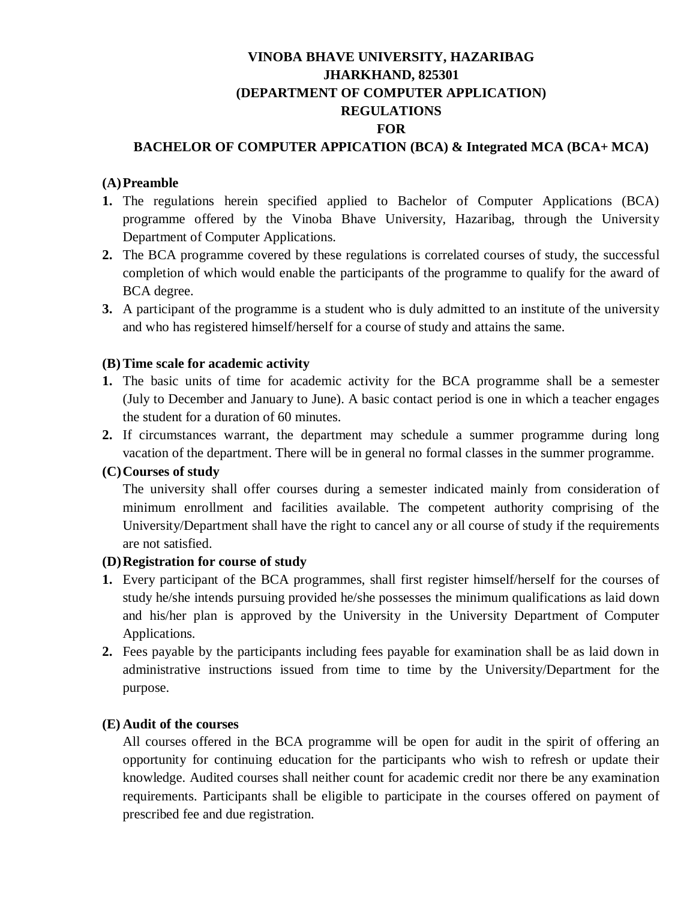## **VINOBA BHAVE UNIVERSITY, HAZARIBAG JHARKHAND, 825301 (DEPARTMENT OF COMPUTER APPLICATION) REGULATIONS FOR**

## **BACHELOR OF COMPUTER APPICATION (BCA) & Integrated MCA (BCA+ MCA)**

#### **(A)Preamble**

- **1.** The regulations herein specified applied to Bachelor of Computer Applications (BCA) programme offered by the Vinoba Bhave University, Hazaribag, through the University Department of Computer Applications.
- **2.** The BCA programme covered by these regulations is correlated courses of study, the successful completion of which would enable the participants of the programme to qualify for the award of BCA degree.
- **3.** A participant of the programme is a student who is duly admitted to an institute of the university and who has registered himself/herself for a course of study and attains the same.

#### **(B)Time scale for academic activity**

- **1.** The basic units of time for academic activity for the BCA programme shall be a semester (July to December and January to June). A basic contact period is one in which a teacher engages the student for a duration of 60 minutes.
- **2.** If circumstances warrant, the department may schedule a summer programme during long vacation of the department. There will be in general no formal classes in the summer programme.

#### **(C)Courses of study**

The university shall offer courses during a semester indicated mainly from consideration of minimum enrollment and facilities available. The competent authority comprising of the University/Department shall have the right to cancel any or all course of study if the requirements are not satisfied.

#### **(D)Registration for course of study**

- **1.** Every participant of the BCA programmes, shall first register himself/herself for the courses of study he/she intends pursuing provided he/she possesses the minimum qualifications as laid down and his/her plan is approved by the University in the University Department of Computer Applications.
- **2.** Fees payable by the participants including fees payable for examination shall be as laid down in administrative instructions issued from time to time by the University/Department for the purpose.

#### **(E) Audit of the courses**

All courses offered in the BCA programme will be open for audit in the spirit of offering an opportunity for continuing education for the participants who wish to refresh or update their knowledge. Audited courses shall neither count for academic credit nor there be any examination requirements. Participants shall be eligible to participate in the courses offered on payment of prescribed fee and due registration.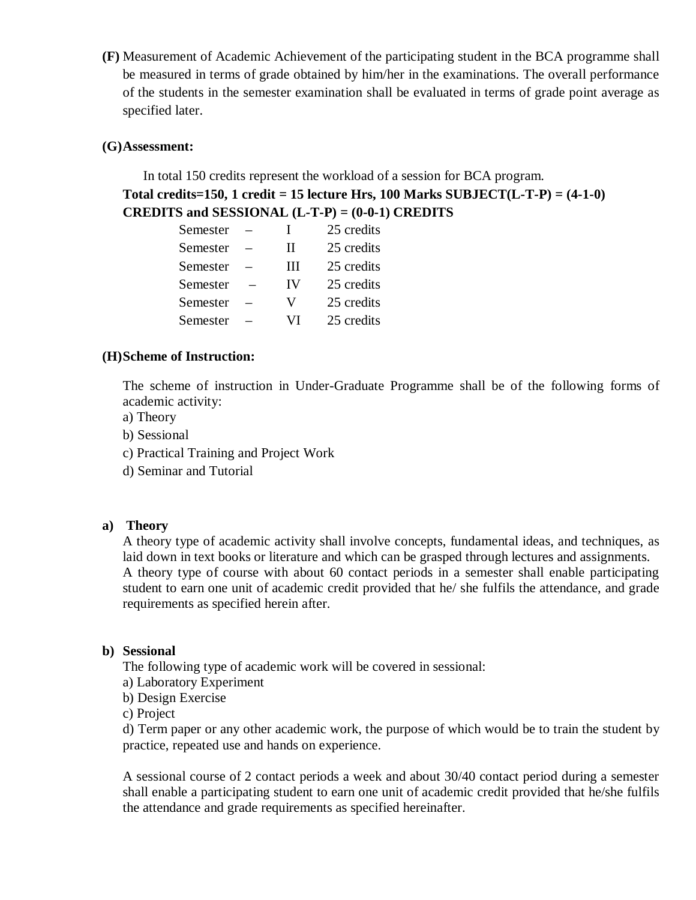**(F)** Measurement of Academic Achievement of the participating student in the BCA programme shall be measured in terms of grade obtained by him/her in the examinations. The overall performance of the students in the semester examination shall be evaluated in terms of grade point average as specified later.

## **(G)Assessment:**

In total 150 credits represent the workload of a session for BCA program. **Total credits=150, 1 credit = 15 lecture Hrs, 100 Marks SUBJECT(L-T-P) = (4-1-0) CREDITS and SESSIONAL (L-T-P) = (0-0-1) CREDITS**

| Semester | L  | 25 credits |
|----------|----|------------|
| Semester | Н  | 25 credits |
| Semester | Ш  | 25 credits |
| Semester | IV | 25 credits |
| Semester | V  | 25 credits |
| Semester | VI | 25 credits |

## **(H)Scheme of Instruction:**

The scheme of instruction in Under-Graduate Programme shall be of the following forms of academic activity:

- a) Theory
- b) Sessional
- c) Practical Training and Project Work
- d) Seminar and Tutorial

#### **a) Theory**

A theory type of academic activity shall involve concepts, fundamental ideas, and techniques, as laid down in text books or literature and which can be grasped through lectures and assignments. A theory type of course with about 60 contact periods in a semester shall enable participating student to earn one unit of academic credit provided that he/ she fulfils the attendance, and grade requirements as specified herein after.

#### **b) Sessional**

The following type of academic work will be covered in sessional:

- a) Laboratory Experiment
- b) Design Exercise

c) Project

d) Term paper or any other academic work, the purpose of which would be to train the student by practice, repeated use and hands on experience.

A sessional course of 2 contact periods a week and about 30/40 contact period during a semester shall enable a participating student to earn one unit of academic credit provided that he/she fulfils the attendance and grade requirements as specified hereinafter.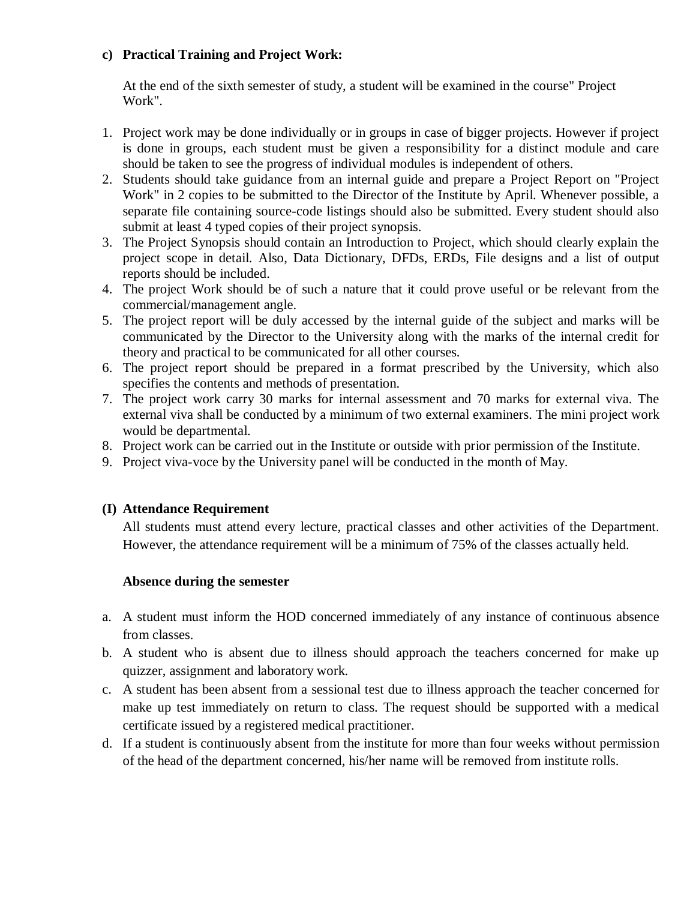## **c) Practical Training and Project Work:**

At the end of the sixth semester of study, a student will be examined in the course" Project Work".

- 1. Project work may be done individually or in groups in case of bigger projects. However if project is done in groups, each student must be given a responsibility for a distinct module and care should be taken to see the progress of individual modules is independent of others.
- 2. Students should take guidance from an internal guide and prepare a Project Report on "Project Work" in 2 copies to be submitted to the Director of the Institute by April. Whenever possible, a separate file containing source-code listings should also be submitted. Every student should also submit at least 4 typed copies of their project synopsis.
- 3. The Project Synopsis should contain an Introduction to Project, which should clearly explain the project scope in detail. Also, Data Dictionary, DFDs, ERDs, File designs and a list of output reports should be included.
- 4. The project Work should be of such a nature that it could prove useful or be relevant from the commercial/management angle.
- 5. The project report will be duly accessed by the internal guide of the subject and marks will be communicated by the Director to the University along with the marks of the internal credit for theory and practical to be communicated for all other courses.
- 6. The project report should be prepared in a format prescribed by the University, which also specifies the contents and methods of presentation.
- 7. The project work carry 30 marks for internal assessment and 70 marks for external viva. The external viva shall be conducted by a minimum of two external examiners. The mini project work would be departmental.
- 8. Project work can be carried out in the Institute or outside with prior permission of the Institute.
- 9. Project viva-voce by the University panel will be conducted in the month of May.

## **(I) Attendance Requirement**

All students must attend every lecture, practical classes and other activities of the Department. However, the attendance requirement will be a minimum of 75% of the classes actually held.

## **Absence during the semester**

- a. A student must inform the HOD concerned immediately of any instance of continuous absence from classes.
- b. A student who is absent due to illness should approach the teachers concerned for make up quizzer, assignment and laboratory work.
- c. A student has been absent from a sessional test due to illness approach the teacher concerned for make up test immediately on return to class. The request should be supported with a medical certificate issued by a registered medical practitioner.
- d. If a student is continuously absent from the institute for more than four weeks without permission of the head of the department concerned, his/her name will be removed from institute rolls.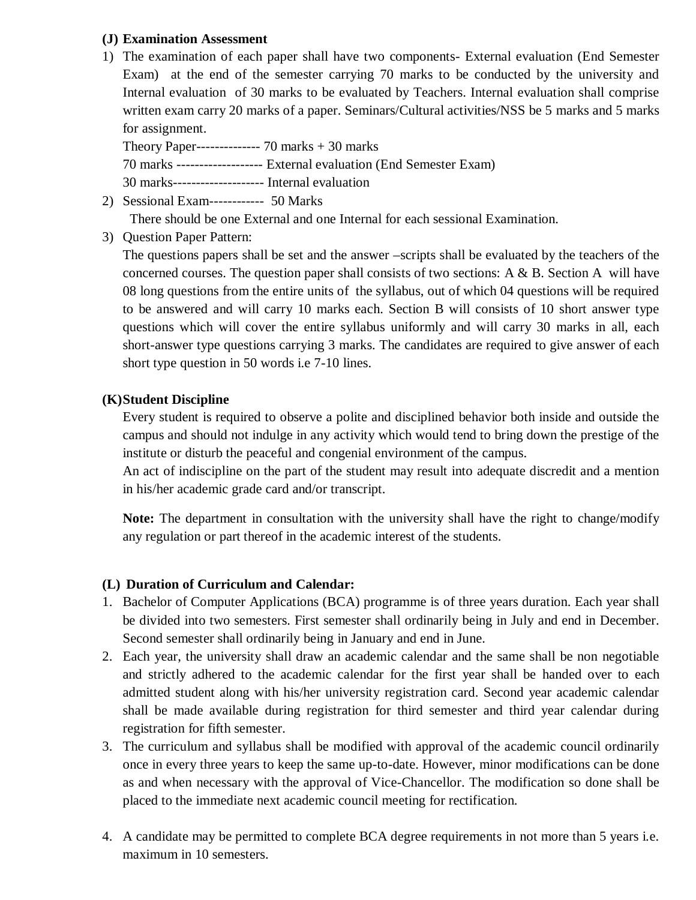## **(J) Examination Assessment**

1) The examination of each paper shall have two components- External evaluation (End Semester Exam) at the end of the semester carrying 70 marks to be conducted by the university and Internal evaluation of 30 marks to be evaluated by Teachers. Internal evaluation shall comprise written exam carry 20 marks of a paper. Seminars/Cultural activities/NSS be 5 marks and 5 marks for assignment.

Theory Paper-------------- 70 marks + 30 marks

70 marks ------------------- External evaluation (End Semester Exam)

30 marks-------------------- Internal evaluation

2) Sessional Exam------------ 50 Marks

There should be one External and one Internal for each sessional Examination.

3) Question Paper Pattern:

The questions papers shall be set and the answer –scripts shall be evaluated by the teachers of the concerned courses. The question paper shall consists of two sections:  $A \& B$ . Section A will have 08 long questions from the entire units of the syllabus, out of which 04 questions will be required to be answered and will carry 10 marks each. Section B will consists of 10 short answer type questions which will cover the entire syllabus uniformly and will carry 30 marks in all, each short-answer type questions carrying 3 marks. The candidates are required to give answer of each short type question in 50 words i.e 7-10 lines.

## **(K)Student Discipline**

Every student is required to observe a polite and disciplined behavior both inside and outside the campus and should not indulge in any activity which would tend to bring down the prestige of the institute or disturb the peaceful and congenial environment of the campus.

An act of indiscipline on the part of the student may result into adequate discredit and a mention in his/her academic grade card and/or transcript.

**Note:** The department in consultation with the university shall have the right to change/modify any regulation or part thereof in the academic interest of the students.

## **(L) Duration of Curriculum and Calendar:**

- 1. Bachelor of Computer Applications (BCA) programme is of three years duration. Each year shall be divided into two semesters. First semester shall ordinarily being in July and end in December. Second semester shall ordinarily being in January and end in June.
- 2. Each year, the university shall draw an academic calendar and the same shall be non negotiable and strictly adhered to the academic calendar for the first year shall be handed over to each admitted student along with his/her university registration card. Second year academic calendar shall be made available during registration for third semester and third year calendar during registration for fifth semester.
- 3. The curriculum and syllabus shall be modified with approval of the academic council ordinarily once in every three years to keep the same up-to-date. However, minor modifications can be done as and when necessary with the approval of Vice-Chancellor. The modification so done shall be placed to the immediate next academic council meeting for rectification.
- 4. A candidate may be permitted to complete BCA degree requirements in not more than 5 years i.e. maximum in 10 semesters.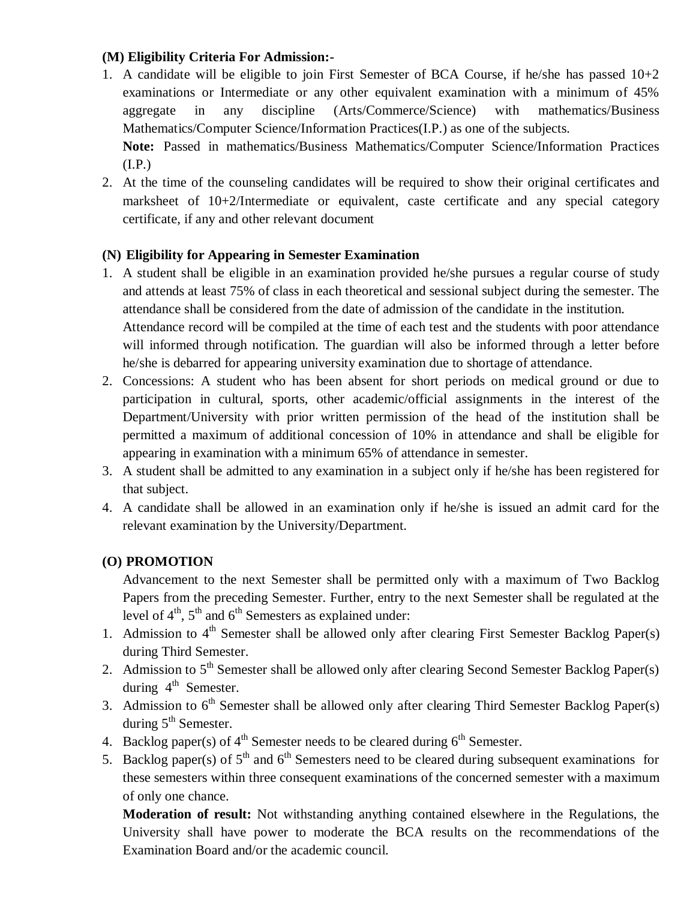## **(M) Eligibility Criteria For Admission:-**

- 1. A candidate will be eligible to join First Semester of BCA Course, if he/she has passed  $10+2$ examinations or Intermediate or any other equivalent examination with a minimum of 45% aggregate in any discipline (Arts/Commerce/Science) with mathematics/Business Mathematics/Computer Science/Information Practices(I.P.) as one of the subjects. **Note:** Passed in mathematics/Business Mathematics/Computer Science/Information Practices
- $(I.P.)$ 2. At the time of the counseling candidates will be required to show their original certificates and marksheet of 10+2/Intermediate or equivalent, caste certificate and any special category certificate, if any and other relevant document

## **(N) Eligibility for Appearing in Semester Examination**

- 1. A student shall be eligible in an examination provided he/she pursues a regular course of study and attends at least 75% of class in each theoretical and sessional subject during the semester. The attendance shall be considered from the date of admission of the candidate in the institution. Attendance record will be compiled at the time of each test and the students with poor attendance will informed through notification. The guardian will also be informed through a letter before he/she is debarred for appearing university examination due to shortage of attendance.
- 2. Concessions: A student who has been absent for short periods on medical ground or due to participation in cultural, sports, other academic/official assignments in the interest of the Department/University with prior written permission of the head of the institution shall be permitted a maximum of additional concession of 10% in attendance and shall be eligible for appearing in examination with a minimum 65% of attendance in semester.
- 3. A student shall be admitted to any examination in a subject only if he/she has been registered for that subject.
- 4. A candidate shall be allowed in an examination only if he/she is issued an admit card for the relevant examination by the University/Department.

## **(O) PROMOTION**

Advancement to the next Semester shall be permitted only with a maximum of Two Backlog Papers from the preceding Semester. Further, entry to the next Semester shall be regulated at the level of  $4<sup>th</sup>$ ,  $5<sup>th</sup>$  and  $6<sup>th</sup>$  Semesters as explained under:

- 1. Admission to  $4<sup>th</sup>$  Semester shall be allowed only after clearing First Semester Backlog Paper(s) during Third Semester.
- 2. Admission to 5<sup>th</sup> Semester shall be allowed only after clearing Second Semester Backlog Paper(s) during 4<sup>th</sup> Semester.
- 3. Admission to  $6<sup>th</sup>$  Semester shall be allowed only after clearing Third Semester Backlog Paper(s) during  $5<sup>th</sup>$  Semester.
- 4. Backlog paper(s) of  $4<sup>th</sup>$  Semester needs to be cleared during  $6<sup>th</sup>$  Semester.
- 5. Backlog paper(s) of  $5<sup>th</sup>$  and  $6<sup>th</sup>$  Semesters need to be cleared during subsequent examinations for these semesters within three consequent examinations of the concerned semester with a maximum of only one chance.

**Moderation of result:** Not withstanding anything contained elsewhere in the Regulations, the University shall have power to moderate the BCA results on the recommendations of the Examination Board and/or the academic council.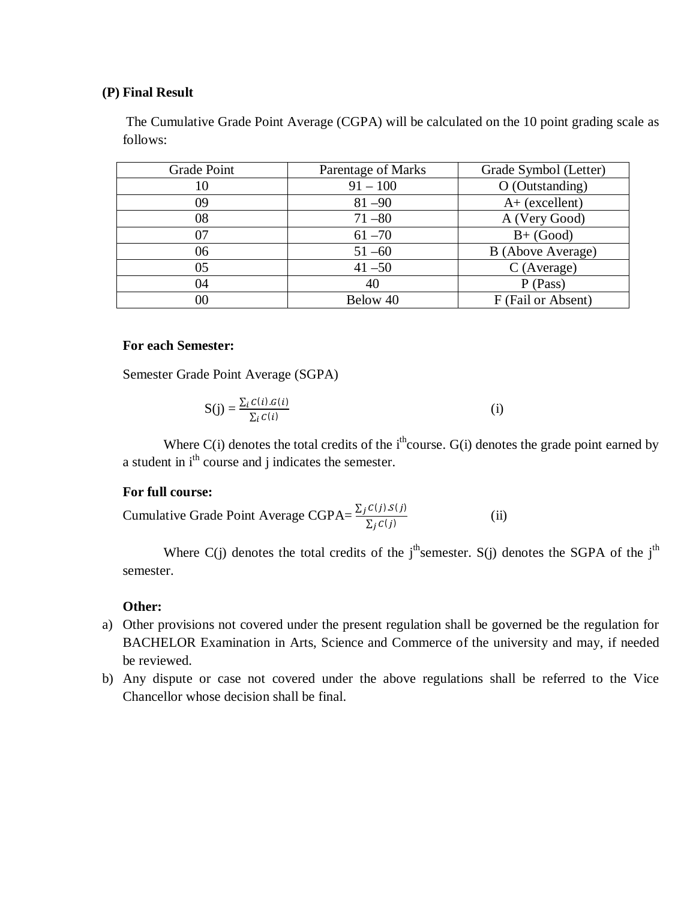#### **(P) Final Result**

The Cumulative Grade Point Average (CGPA) will be calculated on the 10 point grading scale as follows:

| Grade Point | Parentage of Marks | Grade Symbol (Letter) |
|-------------|--------------------|-----------------------|
| 10          | $91 - 100$         | O (Outstanding)       |
| 09          | $81 - 90$          | $A+$ (excellent)      |
| 08          | $71 - 80$          | A (Very Good)         |
| 07          | $61 - 70$          | $B+$ (Good)           |
| 06          | $51 - 60$          | B (Above Average)     |
| 05          | $41 - 50$          | $C$ (Average)         |
| 04          | 40                 | P (Pass)              |
| $00\,$      | Below 40           | F (Fail or Absent)    |

## **For each Semester:**

Semester Grade Point Average (SGPA)

$$
S(j) = \frac{\sum_{i} C(i) . G(i)}{\sum_{i} C(i)} \tag{i}
$$

Where  $C(i)$  denotes the total credits of the i<sup>th</sup>course.  $G(i)$  denotes the grade point earned by a student in i<sup>th</sup> course and j indicates the semester.

#### **For full course:**

Cumulative Grade Point Average CGPA= $\frac{\sum_j C(j) . S(j)}{\sum_j C(j)}$ (ii)

Where C(j) denotes the total credits of the j<sup>th</sup>semester. S(j) denotes the SGPA of the j<sup>th</sup> semester.

#### **Other:**

- a) Other provisions not covered under the present regulation shall be governed be the regulation for BACHELOR Examination in Arts, Science and Commerce of the university and may, if needed be reviewed.
- b) Any dispute or case not covered under the above regulations shall be referred to the Vice Chancellor whose decision shall be final.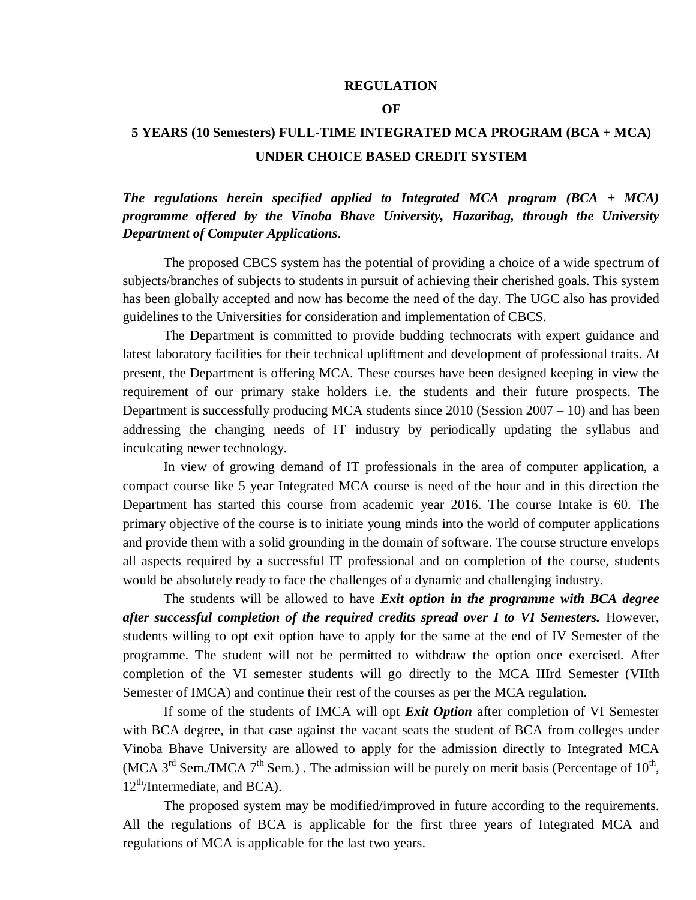#### **REGULATION**

#### **OF**

## **5 YEARS (10 Semesters) FULL-TIME INTEGRATED MCA PROGRAM (BCA + MCA) UNDER CHOICE BASED CREDIT SYSTEM**

*The regulations herein specified applied to Integrated MCA program (BCA + MCA) programme offered by the Vinoba Bhave University, Hazaribag, through the University Department of Computer Applications*.

The proposed CBCS system has the potential of providing a choice of a wide spectrum of subjects/branches of subjects to students in pursuit of achieving their cherished goals. This system has been globally accepted and now has become the need of the day. The UGC also has provided guidelines to the Universities for consideration and implementation of CBCS.

The Department is committed to provide budding technocrats with expert guidance and latest laboratory facilities for their technical upliftment and development of professional traits. At present, the Department is offering MCA. These courses have been designed keeping in view the requirement of our primary stake holders i.e. the students and their future prospects. The Department is successfully producing MCA students since  $2010$  (Session  $2007 - 10$ ) and has been addressing the changing needs of IT industry by periodically updating the syllabus and inculcating newer technology.

In view of growing demand of IT professionals in the area of computer application, a compact course like 5 year Integrated MCA course is need of the hour and in this direction the Department has started this course from academic year 2016. The course Intake is 60. The primary objective of the course is to initiate young minds into the world of computer applications and provide them with a solid grounding in the domain of software. The course structure envelops all aspects required by a successful IT professional and on completion of the course, students would be absolutely ready to face the challenges of a dynamic and challenging industry.

The students will be allowed to have *Exit option in the programme with BCA degree after successful completion of the required credits spread over I to VI Semesters.* However, students willing to opt exit option have to apply for the same at the end of IV Semester of the programme. The student will not be permitted to withdraw the option once exercised. After completion of the VI semester students will go directly to the MCA IIIrd Semester (VIIth Semester of IMCA) and continue their rest of the courses as per the MCA regulation.

If some of the students of IMCA will opt *Exit Option* after completion of VI Semester with BCA degree, in that case against the vacant seats the student of BCA from colleges under Vinoba Bhave University are allowed to apply for the admission directly to Integrated MCA (MCA 3<sup>rd</sup> Sem./IMCA 7<sup>th</sup> Sem.). The admission will be purely on merit basis (Percentage of  $10^{th}$ ,  $12<sup>th</sup>/Intermediate, and BCA)$ .

The proposed system may be modified/improved in future according to the requirements. All the regulations of BCA is applicable for the first three years of Integrated MCA and regulations of MCA is applicable for the last two years.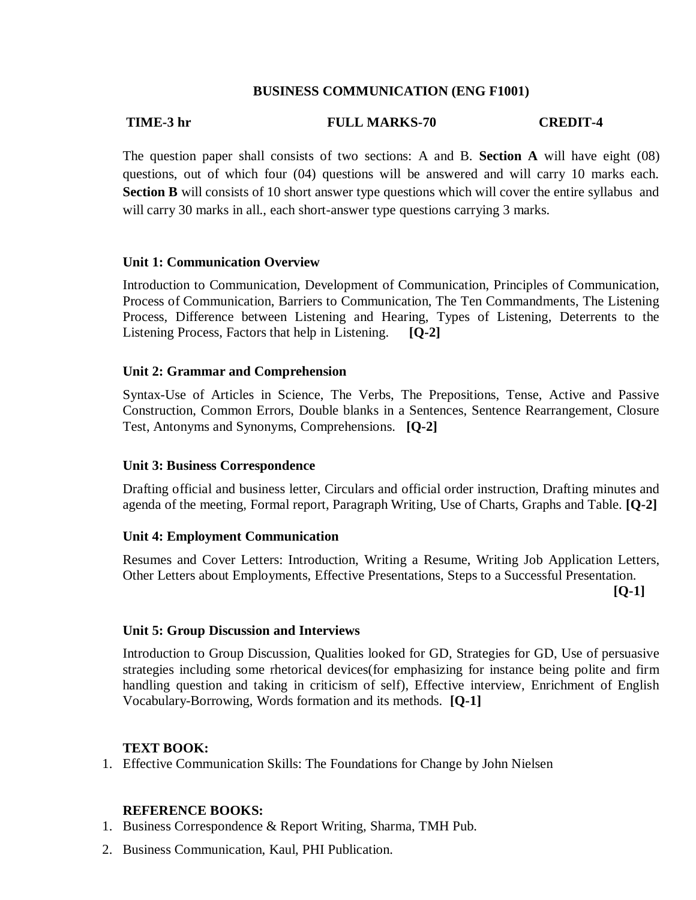#### **BUSINESS COMMUNICATION (ENG F1001)**

## **TIME-3 hr FULL MARKS-70 CREDIT-4**

The question paper shall consists of two sections: A and B. **Section A** will have eight (08) questions, out of which four (04) questions will be answered and will carry 10 marks each. Section B will consists of 10 short answer type questions which will cover the entire syllabus and will carry 30 marks in all., each short-answer type questions carrying 3 marks.

#### **Unit 1: Communication Overview**

Introduction to Communication, Development of Communication, Principles of Communication, Process of Communication, Barriers to Communication, The Ten Commandments, The Listening Process, Difference between Listening and Hearing, Types of Listening, Deterrents to the Listening Process, Factors that help in Listening. **[Q-2]**

#### **Unit 2: Grammar and Comprehension**

Syntax-Use of Articles in Science, The Verbs, The Prepositions, Tense, Active and Passive Construction, Common Errors, Double blanks in a Sentences, Sentence Rearrangement, Closure Test, Antonyms and Synonyms, Comprehensions. **[Q-2]**

#### **Unit 3: Business Correspondence**

Drafting official and business letter, Circulars and official order instruction, Drafting minutes and agenda of the meeting, Formal report, Paragraph Writing, Use of Charts, Graphs and Table. **[Q-2]**

#### **Unit 4: Employment Communication**

Resumes and Cover Letters: Introduction, Writing a Resume, Writing Job Application Letters, Other Letters about Employments, Effective Presentations, Steps to a Successful Presentation.

**[Q-1]**

#### **Unit 5: Group Discussion and Interviews**

Introduction to Group Discussion, Qualities looked for GD, Strategies for GD, Use of persuasive strategies including some rhetorical devices(for emphasizing for instance being polite and firm handling question and taking in criticism of self), Effective interview, Enrichment of English Vocabulary-Borrowing, Words formation and its methods. **[Q-1]**

#### **TEXT BOOK:**

1. Effective Communication Skills: The Foundations for Change by John Nielsen

#### **REFERENCE BOOKS:**

- 1. Business Correspondence & Report Writing, Sharma, TMH Pub.
- 2. Business Communication, Kaul, PHI Publication.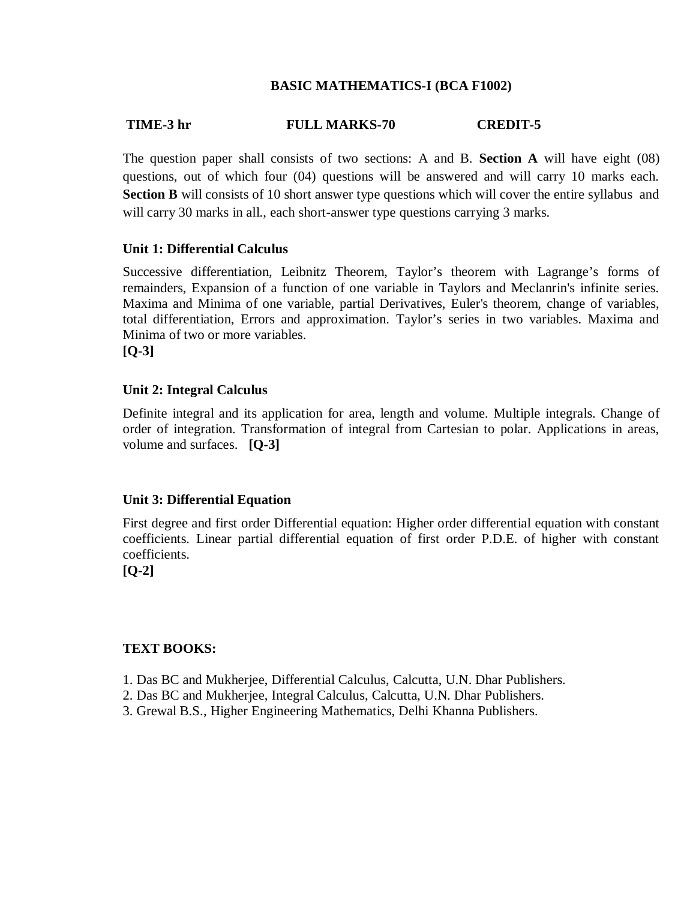#### **BASIC MATHEMATICS-I (BCA F1002)**

#### **TIME-3 hr FULL MARKS-70 CREDIT-5**

The question paper shall consists of two sections: A and B. **Section A** will have eight (08) questions, out of which four (04) questions will be answered and will carry 10 marks each. Section B will consists of 10 short answer type questions which will cover the entire syllabus and will carry 30 marks in all., each short-answer type questions carrying 3 marks.

#### **Unit 1: Differential Calculus**

Successive differentiation, Leibnitz Theorem, Taylor's theorem with Lagrange's forms of remainders, Expansion of a function of one variable in Taylors and Meclanrin's infinite series. Maxima and Minima of one variable, partial Derivatives, Euler's theorem, change of variables, total differentiation, Errors and approximation. Taylor's series in two variables. Maxima and Minima of two or more variables. **[Q-3]**

#### **Unit 2: Integral Calculus**

Definite integral and its application for area, length and volume. Multiple integrals. Change of order of integration. Transformation of integral from Cartesian to polar. Applications in areas, volume and surfaces. **[Q-3]**

#### **Unit 3: Differential Equation**

First degree and first order Differential equation: Higher order differential equation with constant coefficients. Linear partial differential equation of first order P.D.E. of higher with constant coefficients.

**[Q-2]**

#### **TEXT BOOKS:**

- 1. Das BC and Mukherjee, Differential Calculus, Calcutta, U.N. Dhar Publishers.
- 2. Das BC and Mukherjee, Integral Calculus, Calcutta, U.N. Dhar Publishers.
- 3. Grewal B.S., Higher Engineering Mathematics, Delhi Khanna Publishers.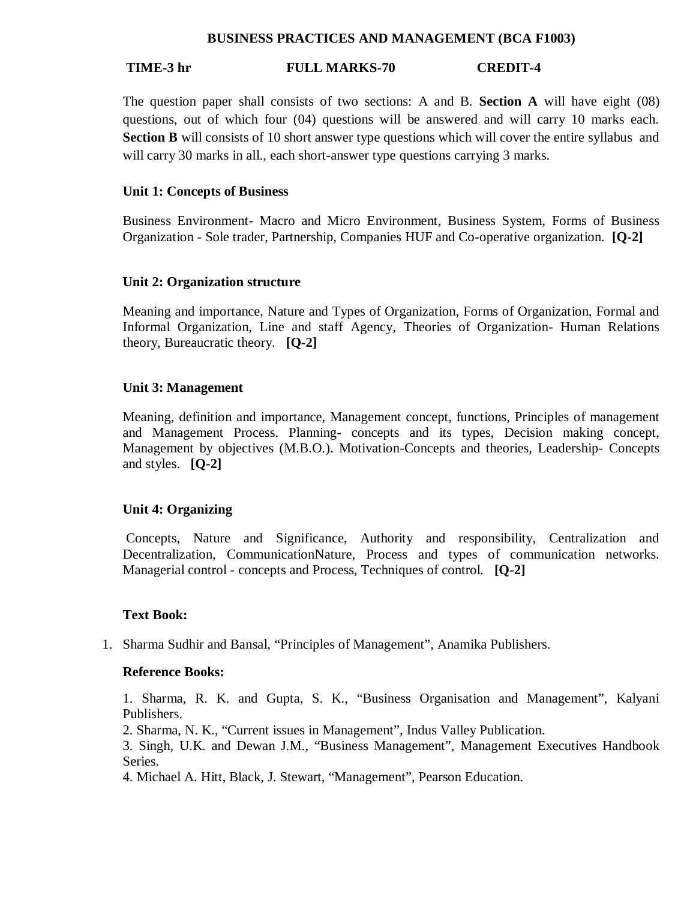#### **BUSINESS PRACTICES AND MANAGEMENT (BCA F1003)**

#### **TIME-3 hr FULL MARKS-70 CREDIT-4**

The question paper shall consists of two sections: A and B. **Section A** will have eight (08) questions, out of which four (04) questions will be answered and will carry 10 marks each. **Section B** will consists of 10 short answer type questions which will cover the entire syllabus and will carry 30 marks in all., each short-answer type questions carrying 3 marks.

#### **Unit 1: Concepts of Business**

Business Environment- Macro and Micro Environment, Business System, Forms of Business Organization - Sole trader, Partnership, Companies HUF and Co-operative organization. **[Q-2]**

#### **Unit 2: Organization structure**

Meaning and importance, Nature and Types of Organization, Forms of Organization, Formal and Informal Organization, Line and staff Agency, Theories of Organization- Human Relations theory, Bureaucratic theory. **[Q-2]**

#### **Unit 3: Management**

Meaning, definition and importance, Management concept, functions, Principles of management and Management Process. Planning- concepts and its types, Decision making concept, Management by objectives (M.B.O.). Motivation-Concepts and theories, Leadership- Concepts and styles. **[Q-2]**

#### **Unit 4: Organizing**

Concepts, Nature and Significance, Authority and responsibility, Centralization and Decentralization, CommunicationNature, Process and types of communication networks. Managerial control - concepts and Process, Techniques of control. **[Q-2]**

#### **Text Book:**

1. Sharma Sudhir and Bansal, "Principles of Management", Anamika Publishers.

#### **Reference Books:**

1. Sharma, R. K. and Gupta, S. K., "Business Organisation and Management", Kalyani Publishers.

2. Sharma, N. K., "Current issues in Management", Indus Valley Publication.

3. Singh, U.K. and Dewan J.M., "Business Management", Management Executives Handbook Series.

4. Michael A. Hitt, Black, J. Stewart, "Management", Pearson Education.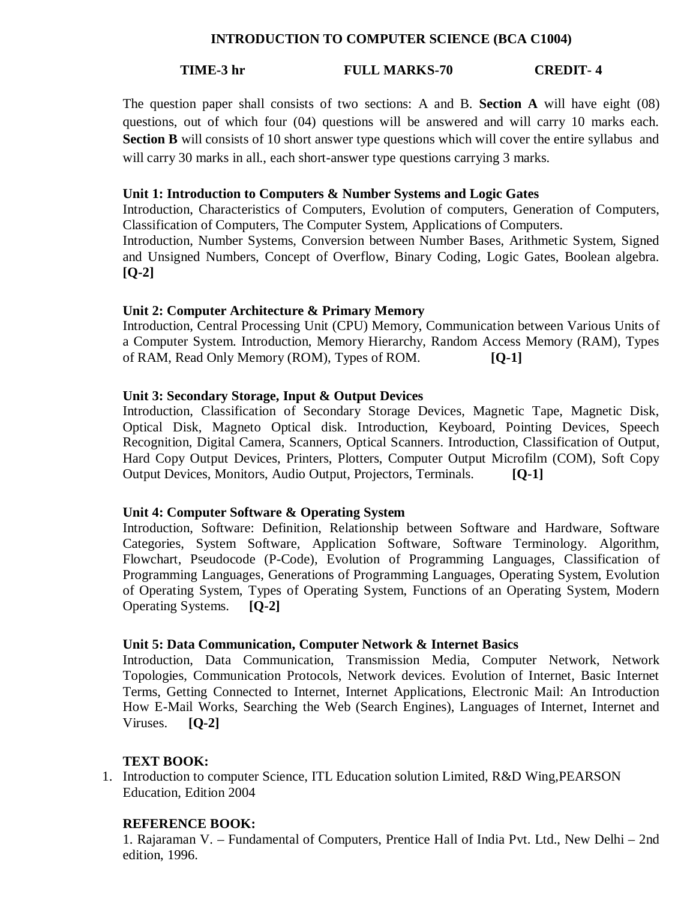#### **INTRODUCTION TO COMPUTER SCIENCE (BCA C1004)**

#### **TIME-3 hr FULL MARKS-70 CREDIT- 4**

The question paper shall consists of two sections: A and B. **Section A** will have eight (08) questions, out of which four (04) questions will be answered and will carry 10 marks each. **Section B** will consists of 10 short answer type questions which will cover the entire syllabus and will carry 30 marks in all., each short-answer type questions carrying 3 marks.

#### **Unit 1: Introduction to Computers & Number Systems and Logic Gates**

Introduction, Characteristics of Computers, Evolution of computers, Generation of Computers, Classification of Computers, The Computer System, Applications of Computers. Introduction, Number Systems, Conversion between Number Bases, Arithmetic System, Signed

and Unsigned Numbers, Concept of Overflow, Binary Coding, Logic Gates, Boolean algebra. **[Q-2]**

#### **Unit 2: Computer Architecture & Primary Memory**

Introduction, Central Processing Unit (CPU) Memory, Communication between Various Units of a Computer System. Introduction, Memory Hierarchy, Random Access Memory (RAM), Types of RAM, Read Only Memory (ROM), Types of ROM. **[Q-1]**

#### **Unit 3: Secondary Storage, Input & Output Devices**

Introduction, Classification of Secondary Storage Devices, Magnetic Tape, Magnetic Disk, Optical Disk, Magneto Optical disk. Introduction, Keyboard, Pointing Devices, Speech Recognition, Digital Camera, Scanners, Optical Scanners. Introduction, Classification of Output, Hard Copy Output Devices, Printers, Plotters, Computer Output Microfilm (COM), Soft Copy Output Devices, Monitors, Audio Output, Projectors, Terminals. **[Q-1]**

#### **Unit 4: Computer Software & Operating System**

Introduction, Software: Definition, Relationship between Software and Hardware, Software Categories, System Software, Application Software, Software Terminology. Algorithm, Flowchart, Pseudocode (P-Code), Evolution of Programming Languages, Classification of Programming Languages, Generations of Programming Languages, Operating System, Evolution of Operating System, Types of Operating System, Functions of an Operating System, Modern Operating Systems. **[Q-2]**

#### **Unit 5: Data Communication, Computer Network & Internet Basics**

Introduction, Data Communication, Transmission Media, Computer Network, Network Topologies, Communication Protocols, Network devices. Evolution of Internet, Basic Internet Terms, Getting Connected to Internet, Internet Applications, Electronic Mail: An Introduction How E-Mail Works, Searching the Web (Search Engines), Languages of Internet, Internet and Viruses. **[Q-2]**

#### **TEXT BOOK:**

1. Introduction to computer Science, ITL Education solution Limited, R&D Wing,PEARSON Education, Edition 2004

#### **REFERENCE BOOK:**

1. Rajaraman V. – Fundamental of Computers, Prentice Hall of India Pvt. Ltd., New Delhi – 2nd edition, 1996.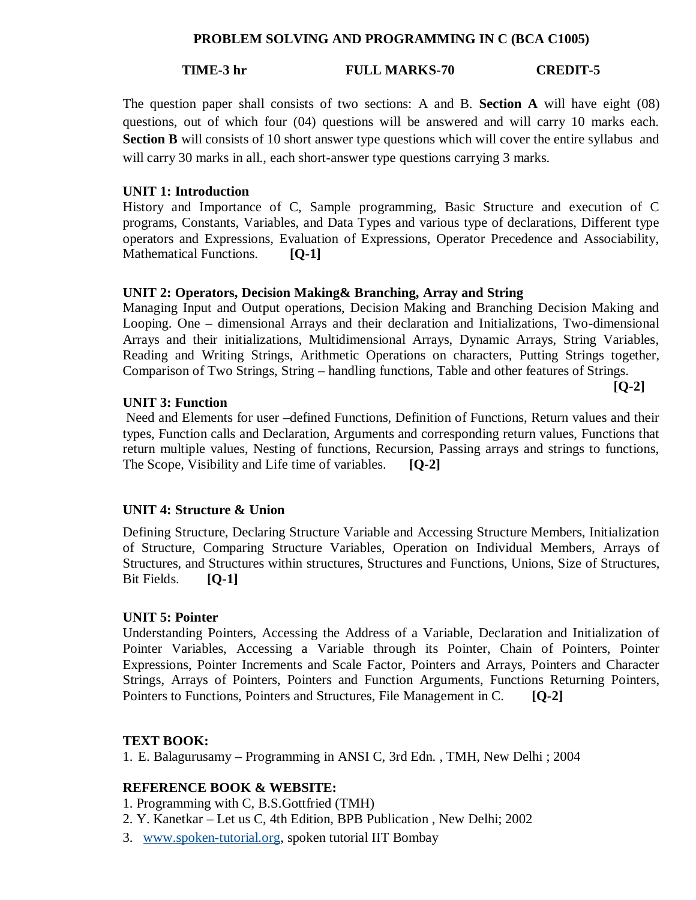#### **PROBLEM SOLVING AND PROGRAMMING IN C (BCA C1005)**

### **TIME-3 hr FULL MARKS-70 CREDIT-5**

The question paper shall consists of two sections: A and B. **Section A** will have eight (08) questions, out of which four (04) questions will be answered and will carry 10 marks each. **Section B** will consists of 10 short answer type questions which will cover the entire syllabus and will carry 30 marks in all., each short-answer type questions carrying 3 marks.

#### **UNIT 1: Introduction**

History and Importance of C, Sample programming, Basic Structure and execution of C programs, Constants, Variables, and Data Types and various type of declarations, Different type operators and Expressions, Evaluation of Expressions, Operator Precedence and Associability, Mathematical Functions. **[O-1]** 

#### **UNIT 2: Operators, Decision Making& Branching, Array and String**

Managing Input and Output operations, Decision Making and Branching Decision Making and Looping. One – dimensional Arrays and their declaration and Initializations, Two-dimensional Arrays and their initializations, Multidimensional Arrays, Dynamic Arrays, String Variables, Reading and Writing Strings, Arithmetic Operations on characters, Putting Strings together, Comparison of Two Strings, String – handling functions, Table and other features of Strings.

**[Q-2]**

**UNIT 3: Function**

Need and Elements for user –defined Functions, Definition of Functions, Return values and their types, Function calls and Declaration, Arguments and corresponding return values, Functions that return multiple values, Nesting of functions, Recursion, Passing arrays and strings to functions, The Scope, Visibility and Life time of variables. **[Q-2]**

#### **UNIT 4: Structure & Union**

Defining Structure, Declaring Structure Variable and Accessing Structure Members, Initialization of Structure, Comparing Structure Variables, Operation on Individual Members, Arrays of Structures, and Structures within structures, Structures and Functions, Unions, Size of Structures, Bit Fields. **[Q-1]**

#### **UNIT 5: Pointer**

Understanding Pointers, Accessing the Address of a Variable, Declaration and Initialization of Pointer Variables, Accessing a Variable through its Pointer, Chain of Pointers, Pointer Expressions, Pointer Increments and Scale Factor, Pointers and Arrays, Pointers and Character Strings, Arrays of Pointers, Pointers and Function Arguments, Functions Returning Pointers, Pointers to Functions, Pointers and Structures, File Management in C. **[Q-2]**

#### **TEXT BOOK:**

1. E. Balagurusamy – Programming in ANSI C, 3rd Edn. , TMH, New Delhi ; 2004

#### **REFERENCE BOOK & WEBSITE:**

- 1. Programming with C, B.S.Gottfried (TMH)
- 2. Y. Kanetkar Let us C, 4th Edition, BPB Publication , New Delhi; 2002
- 3. www.spoken-tutorial.org, spoken tutorial IIT Bombay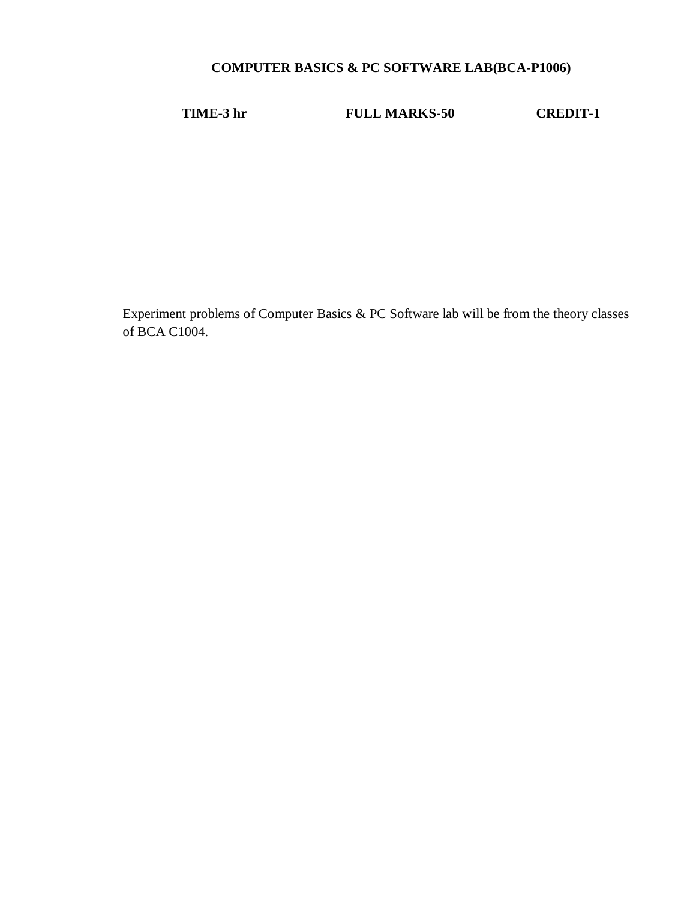## **COMPUTER BASICS & PC SOFTWARE LAB(BCA-P1006)**

**TIME-3 hr FULL MARKS-50 CREDIT-1**

Experiment problems of Computer Basics & PC Software lab will be from the theory classes of BCA C1004.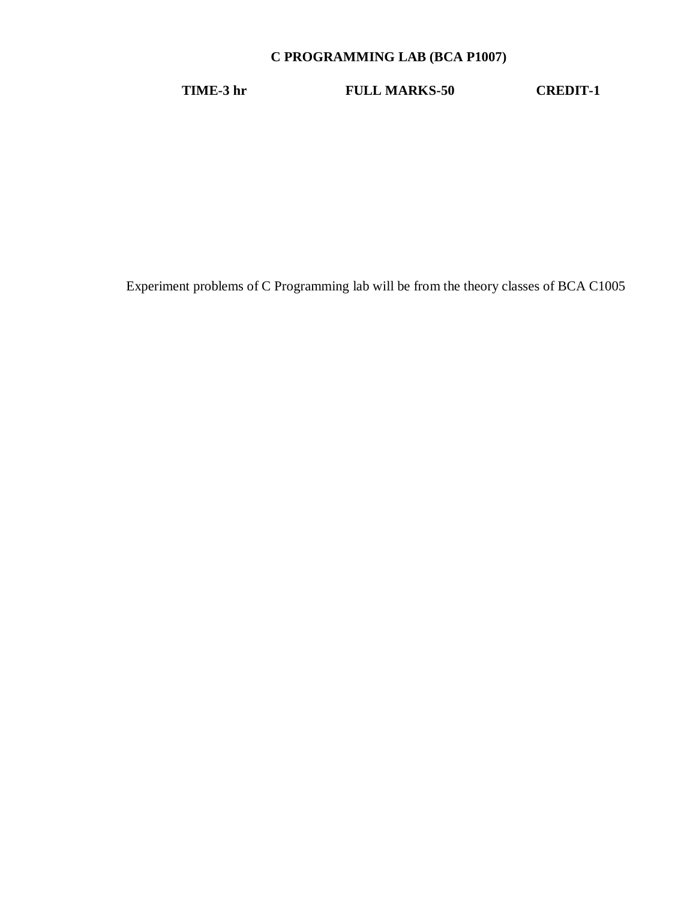## **C PROGRAMMING LAB (BCA P1007)**

**TIME-3 hr FULL MARKS-50 CREDIT-1**

Experiment problems of C Programming lab will be from the theory classes of BCA C1005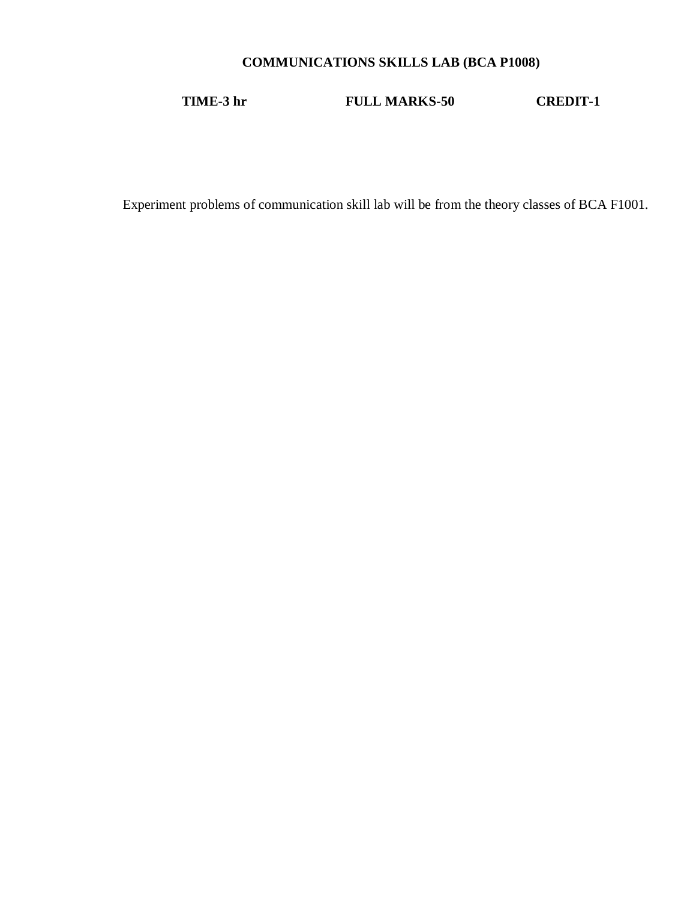## **COMMUNICATIONS SKILLS LAB (BCA P1008)**

**TIME-3 hr FULL MARKS-50 CREDIT-1**

Experiment problems of communication skill lab will be from the theory classes of BCA F1001.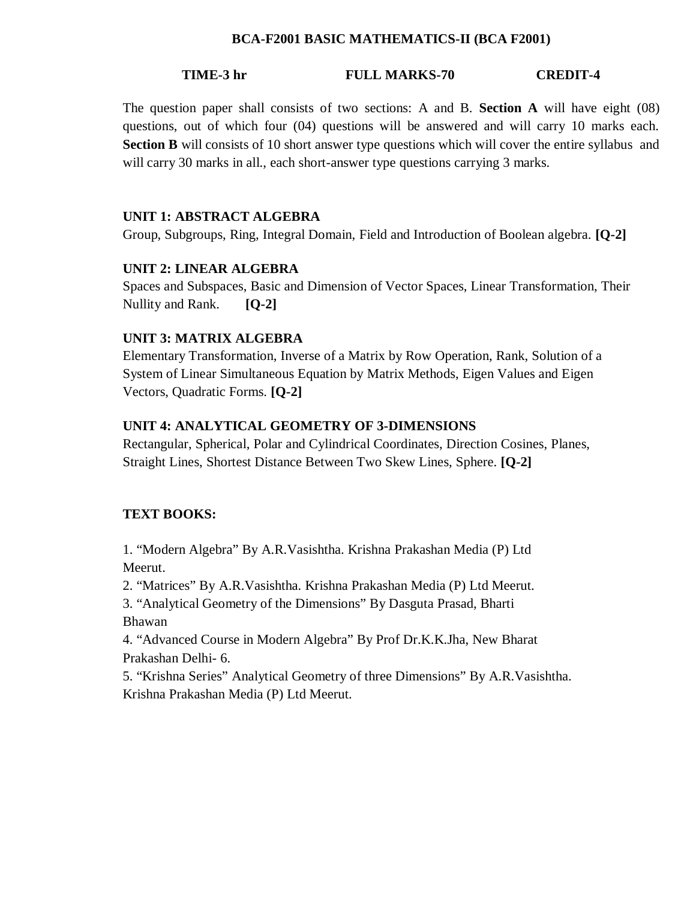#### **BCA-F2001 BASIC MATHEMATICS-II (BCA F2001)**

### **TIME-3 hr FULL MARKS-70 CREDIT-4**

The question paper shall consists of two sections: A and B. **Section A** will have eight (08) questions, out of which four (04) questions will be answered and will carry 10 marks each. **Section B** will consists of 10 short answer type questions which will cover the entire syllabus and will carry 30 marks in all., each short-answer type questions carrying 3 marks.

#### **UNIT 1: ABSTRACT ALGEBRA**

Group, Subgroups, Ring, Integral Domain, Field and Introduction of Boolean algebra. **[Q-2]**

#### **UNIT 2: LINEAR ALGEBRA**

Spaces and Subspaces, Basic and Dimension of Vector Spaces, Linear Transformation, Their Nullity and Rank. **[Q-2]**

#### **UNIT 3: MATRIX ALGEBRA**

Elementary Transformation, Inverse of a Matrix by Row Operation, Rank, Solution of a System of Linear Simultaneous Equation by Matrix Methods, Eigen Values and Eigen Vectors, Quadratic Forms. **[Q-2]**

#### **UNIT 4: ANALYTICAL GEOMETRY OF 3-DIMENSIONS**

Rectangular, Spherical, Polar and Cylindrical Coordinates, Direction Cosines, Planes, Straight Lines, Shortest Distance Between Two Skew Lines, Sphere. **[Q-2]**

#### **TEXT BOOKS:**

1. "Modern Algebra" By A.R.Vasishtha. Krishna Prakashan Media (P) Ltd Meerut.

2. "Matrices" By A.R.Vasishtha. Krishna Prakashan Media (P) Ltd Meerut.

3. "Analytical Geometry of the Dimensions" By Dasguta Prasad, Bharti Bhawan

4. "Advanced Course in Modern Algebra" By Prof Dr.K.K.Jha, New Bharat Prakashan Delhi- 6.

5. "Krishna Series" Analytical Geometry of three Dimensions" By A.R.Vasishtha. Krishna Prakashan Media (P) Ltd Meerut.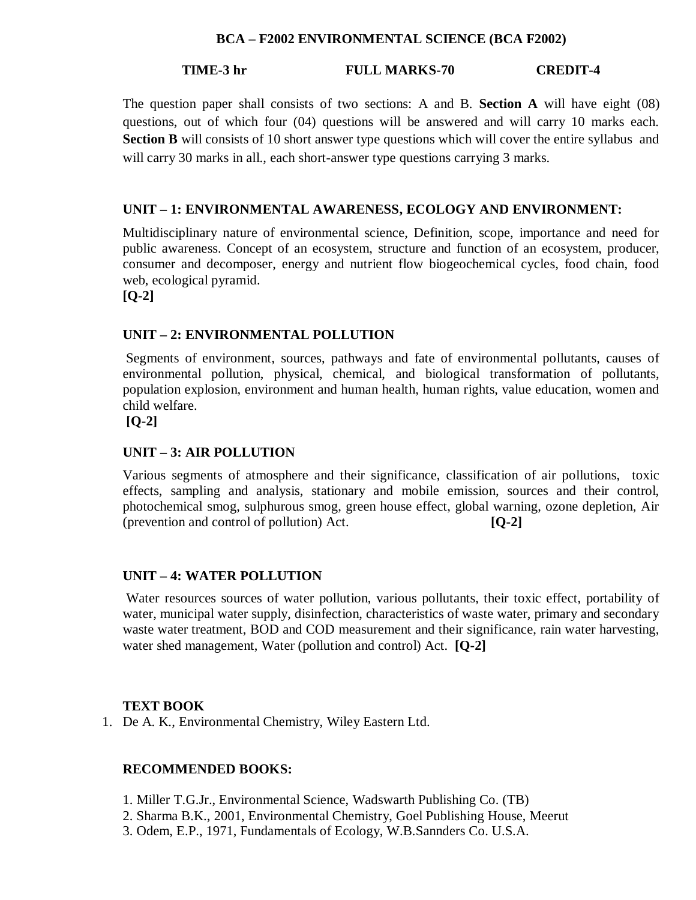### **BCA – F2002 ENVIRONMENTAL SCIENCE (BCA F2002)**

## **TIME-3 hr FULL MARKS-70 CREDIT-4**

The question paper shall consists of two sections: A and B. **Section A** will have eight (08) questions, out of which four (04) questions will be answered and will carry 10 marks each. **Section B** will consists of 10 short answer type questions which will cover the entire syllabus and will carry 30 marks in all., each short-answer type questions carrying 3 marks.

## **UNIT – 1: ENVIRONMENTAL AWARENESS, ECOLOGY AND ENVIRONMENT:**

Multidisciplinary nature of environmental science, Definition, scope, importance and need for public awareness. Concept of an ecosystem, structure and function of an ecosystem, producer, consumer and decomposer, energy and nutrient flow biogeochemical cycles, food chain, food web, ecological pyramid.

**[Q-2]**

#### **UNIT – 2: ENVIRONMENTAL POLLUTION**

Segments of environment, sources, pathways and fate of environmental pollutants, causes of environmental pollution, physical, chemical, and biological transformation of pollutants, population explosion, environment and human health, human rights, value education, women and child welfare.

**[Q-2]**

### **UNIT – 3: AIR POLLUTION**

Various segments of atmosphere and their significance, classification of air pollutions, toxic effects, sampling and analysis, stationary and mobile emission, sources and their control, photochemical smog, sulphurous smog, green house effect, global warning, ozone depletion, Air (prevention and control of pollution) Act. **[Q-2]**

#### **UNIT – 4: WATER POLLUTION**

Water resources sources of water pollution, various pollutants, their toxic effect, portability of water, municipal water supply, disinfection, characteristics of waste water, primary and secondary waste water treatment, BOD and COD measurement and their significance, rain water harvesting, water shed management, Water (pollution and control) Act. **[Q-2]**

#### **TEXT BOOK**

1. De A. K., Environmental Chemistry, Wiley Eastern Ltd.

## **RECOMMENDED BOOKS:**

- 1. Miller T.G.Jr., Environmental Science, Wadswarth Publishing Co. (TB)
- 2. Sharma B.K., 2001, Environmental Chemistry, Goel Publishing House, Meerut
- 3. Odem, E.P., 1971, Fundamentals of Ecology, W.B.Sannders Co. U.S.A.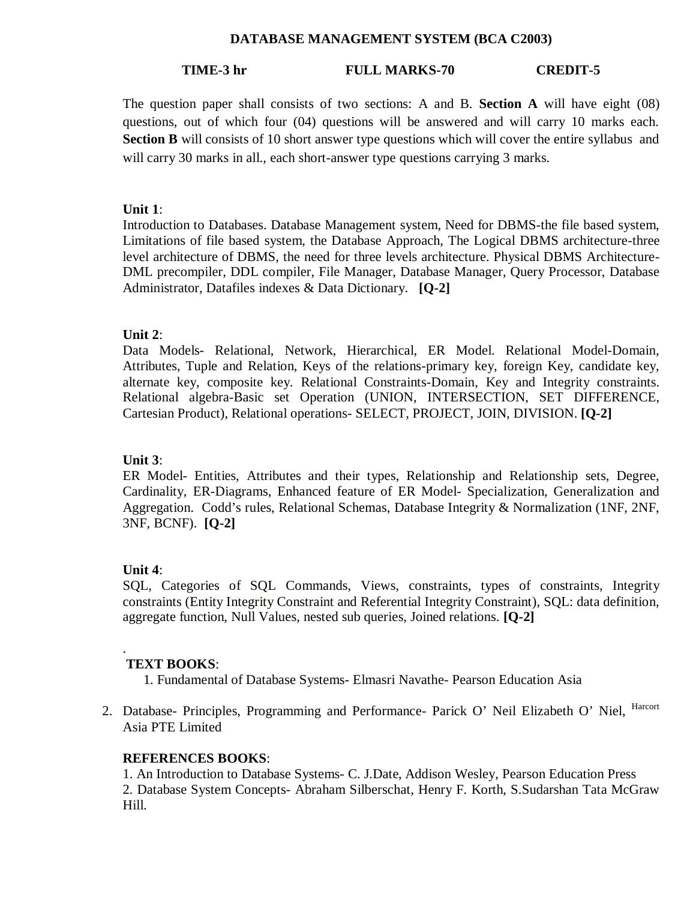#### **DATABASE MANAGEMENT SYSTEM (BCA C2003)**

## **TIME-3 hr FULL MARKS-70 CREDIT-5**

The question paper shall consists of two sections: A and B. **Section A** will have eight (08) questions, out of which four (04) questions will be answered and will carry 10 marks each. **Section B** will consists of 10 short answer type questions which will cover the entire syllabus and will carry 30 marks in all., each short-answer type questions carrying 3 marks.

### **Unit 1**:

Introduction to Databases. Database Management system, Need for DBMS-the file based system, Limitations of file based system, the Database Approach, The Logical DBMS architecture-three level architecture of DBMS, the need for three levels architecture. Physical DBMS Architecture-DML precompiler, DDL compiler, File Manager, Database Manager, Query Processor, Database Administrator, Datafiles indexes & Data Dictionary. **[Q-2]**

## **Unit 2**:

Data Models- Relational, Network, Hierarchical, ER Model. Relational Model-Domain, Attributes, Tuple and Relation, Keys of the relations-primary key, foreign Key, candidate key, alternate key, composite key. Relational Constraints-Domain, Key and Integrity constraints. Relational algebra-Basic set Operation (UNION, INTERSECTION, SET DIFFERENCE, Cartesian Product), Relational operations- SELECT, PROJECT, JOIN, DIVISION. **[Q-2]**

## **Unit 3**:

ER Model- Entities, Attributes and their types, Relationship and Relationship sets, Degree, Cardinality, ER-Diagrams, Enhanced feature of ER Model- Specialization, Generalization and Aggregation. Codd's rules, Relational Schemas, Database Integrity & Normalization (1NF, 2NF, 3NF, BCNF). **[Q-2]**

## **Unit 4**:

.

SQL, Categories of SQL Commands, Views, constraints, types of constraints, Integrity constraints (Entity Integrity Constraint and Referential Integrity Constraint), SQL: data definition, aggregate function, Null Values, nested sub queries, Joined relations. **[Q-2]**

#### **TEXT BOOKS**:

1. Fundamental of Database Systems- Elmasri Navathe- Pearson Education Asia

2. Database- Principles, Programming and Performance- Parick O' Neil Elizabeth O' Niel, Harcort Asia PTE Limited

### **REFERENCES BOOKS**:

1. An Introduction to Database Systems- C. J.Date, Addison Wesley, Pearson Education Press 2. Database System Concepts- Abraham Silberschat, Henry F. Korth, S.Sudarshan Tata McGraw Hill.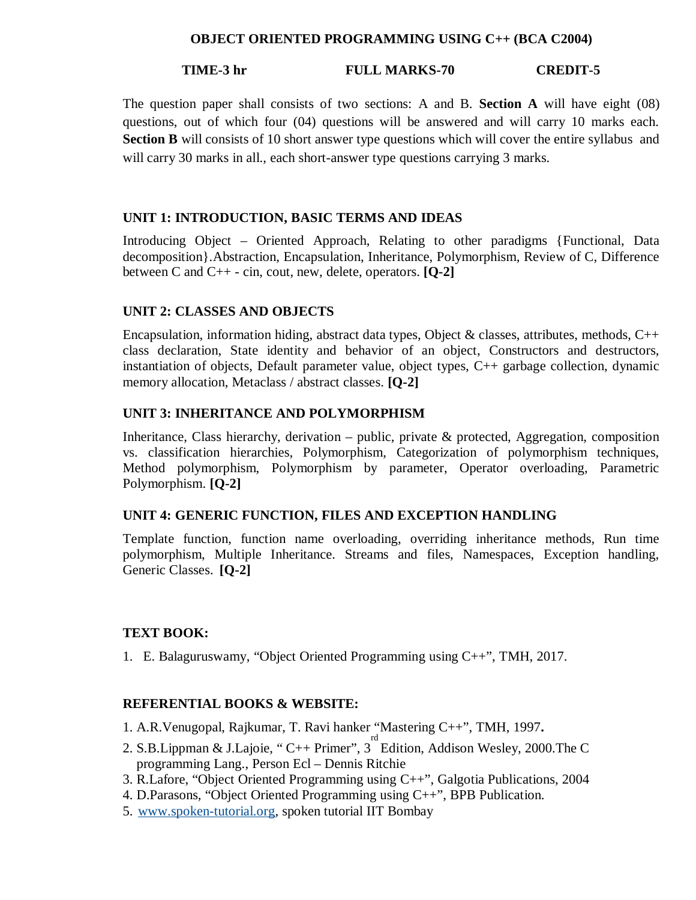#### **OBJECT ORIENTED PROGRAMMING USING C++ (BCA C2004)**

#### **TIME-3 hr FULL MARKS-70 CREDIT-5**

The question paper shall consists of two sections: A and B. **Section A** will have eight (08) questions, out of which four (04) questions will be answered and will carry 10 marks each. **Section B** will consists of 10 short answer type questions which will cover the entire syllabus and will carry 30 marks in all., each short-answer type questions carrying 3 marks.

#### **UNIT 1: INTRODUCTION, BASIC TERMS AND IDEAS**

Introducing Object – Oriented Approach, Relating to other paradigms {Functional, Data decomposition}.Abstraction, Encapsulation, Inheritance, Polymorphism, Review of C, Difference between C and C++ - cin, cout, new, delete, operators. **[Q-2]**

#### **UNIT 2: CLASSES AND OBJECTS**

Encapsulation, information hiding, abstract data types, Object & classes, attributes, methods,  $C++$ class declaration, State identity and behavior of an object, Constructors and destructors, instantiation of objects, Default parameter value, object types, C++ garbage collection, dynamic memory allocation, Metaclass / abstract classes. **[Q-2]**

#### **UNIT 3: INHERITANCE AND POLYMORPHISM**

Inheritance, Class hierarchy, derivation – public, private & protected, Aggregation, composition vs. classification hierarchies, Polymorphism, Categorization of polymorphism techniques, Method polymorphism, Polymorphism by parameter, Operator overloading, Parametric Polymorphism. **[Q-2]**

#### **UNIT 4: GENERIC FUNCTION, FILES AND EXCEPTION HANDLING**

Template function, function name overloading, overriding inheritance methods, Run time polymorphism, Multiple Inheritance. Streams and files, Namespaces, Exception handling, Generic Classes. **[Q-2]**

#### **TEXT BOOK:**

1. E. Balaguruswamy, "Object Oriented Programming using C++", TMH, 2017.

#### **REFERENTIAL BOOKS & WEBSITE:**

- 1. A.R.Venugopal, Rajkumar, T. Ravi hanker "Mastering C++", TMH, 1997**.**
- 2. S.B.Lippman & J.Lajoie, "C++ Primer",  $3^{rd}$  Edition, Addison Wesley, 2000. The C programming Lang., Person Ecl – Dennis Ritchie
- 3. R.Lafore, "Object Oriented Programming using C++", Galgotia Publications, 2004
- 4. D.Parasons, "Object Oriented Programming using C++", BPB Publication.
- 5. www.spoken-tutorial.org, spoken tutorial IIT Bombay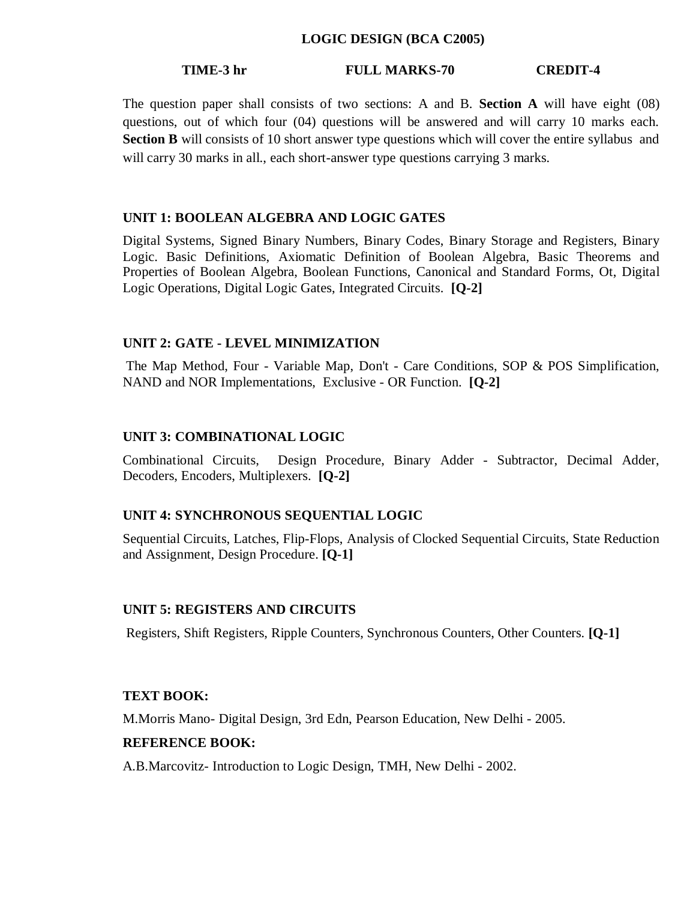#### **LOGIC DESIGN (BCA C2005)**

#### **TIME-3 hr FULL MARKS-70 CREDIT-4**

The question paper shall consists of two sections: A and B. **Section A** will have eight (08) questions, out of which four (04) questions will be answered and will carry 10 marks each. **Section B** will consists of 10 short answer type questions which will cover the entire syllabus and will carry 30 marks in all., each short-answer type questions carrying 3 marks.

#### **UNIT 1: BOOLEAN ALGEBRA AND LOGIC GATES**

Digital Systems, Signed Binary Numbers, Binary Codes, Binary Storage and Registers, Binary Logic. Basic Definitions, Axiomatic Definition of Boolean Algebra, Basic Theorems and Properties of Boolean Algebra, Boolean Functions, Canonical and Standard Forms, Ot, Digital Logic Operations, Digital Logic Gates, Integrated Circuits. **[Q-2]**

#### **UNIT 2: GATE - LEVEL MINIMIZATION**

The Map Method, Four - Variable Map, Don't - Care Conditions, SOP & POS Simplification, NAND and NOR Implementations, Exclusive - OR Function. **[Q-2]**

#### **UNIT 3: COMBINATIONAL LOGIC**

Combinational Circuits, Design Procedure, Binary Adder - Subtractor, Decimal Adder, Decoders, Encoders, Multiplexers. **[Q-2]**

#### **UNIT 4: SYNCHRONOUS SEQUENTIAL LOGIC**

Sequential Circuits, Latches, Flip-Flops, Analysis of Clocked Sequential Circuits, State Reduction and Assignment, Design Procedure. **[Q-1]**

#### **UNIT 5: REGISTERS AND CIRCUITS**

Registers, Shift Registers, Ripple Counters, Synchronous Counters, Other Counters. **[Q-1]**

#### **TEXT BOOK:**

M.Morris Mano- Digital Design, 3rd Edn, Pearson Education, New Delhi - 2005.

#### **REFERENCE BOOK:**

A.B.Marcovitz- Introduction to Logic Design, TMH, New Delhi - 2002.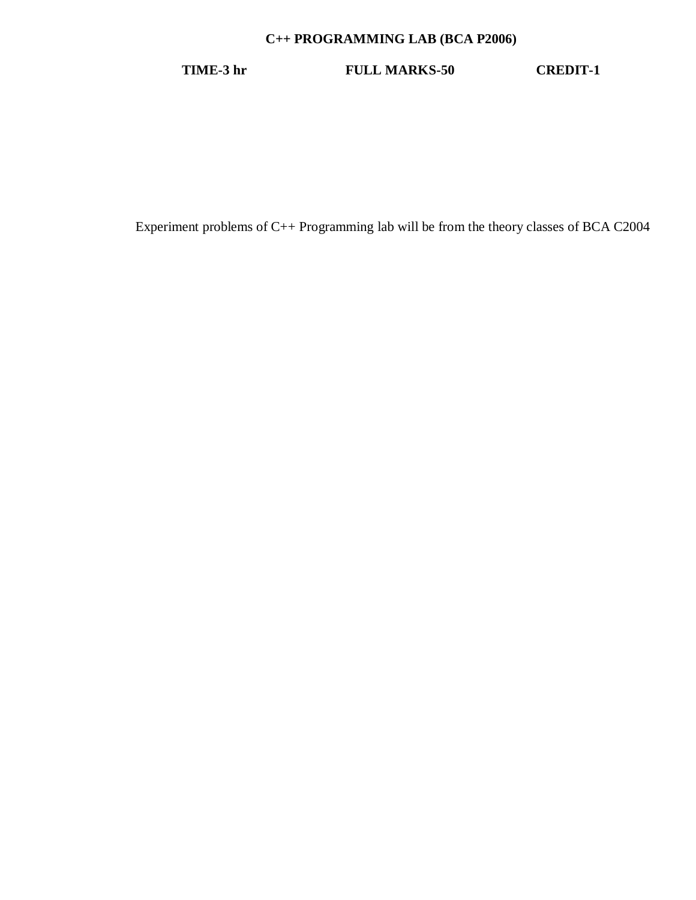## **C++ PROGRAMMING LAB (BCA P2006)**

**TIME-3 hr FULL MARKS-50 CREDIT-1**

Experiment problems of C++ Programming lab will be from the theory classes of BCA C2004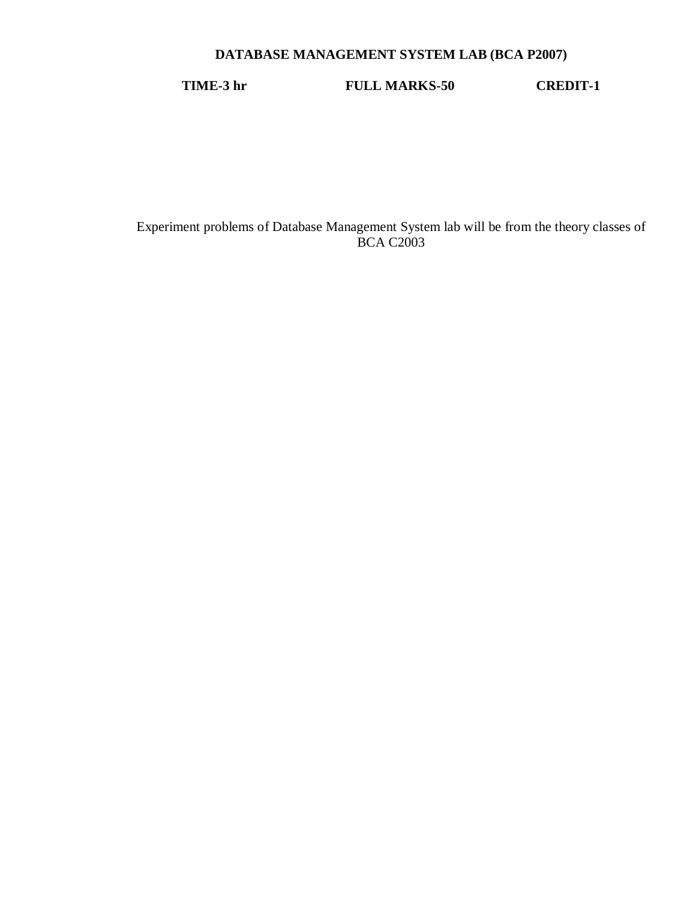## **DATABASE MANAGEMENT SYSTEM LAB (BCA P2007)**

**TIME-3 hr FULL MARKS-50 CREDIT-1**

Experiment problems of Database Management System lab will be from the theory classes of **BCA C2003**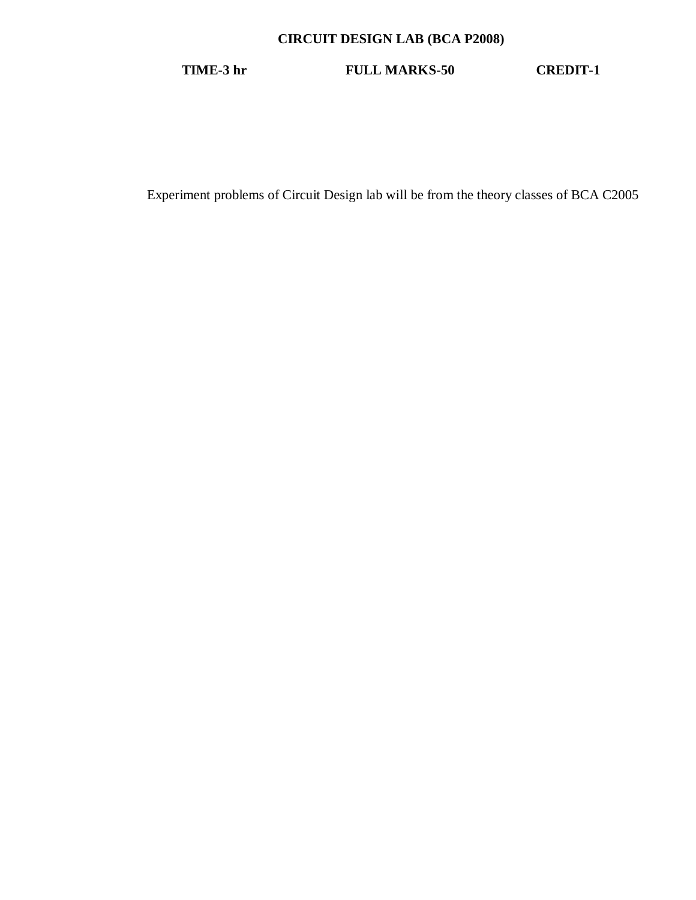## **CIRCUIT DESIGN LAB (BCA P2008)**

**TIME-3 hr FULL MARKS-50 CREDIT-1**

Experiment problems of Circuit Design lab will be from the theory classes of BCA C2005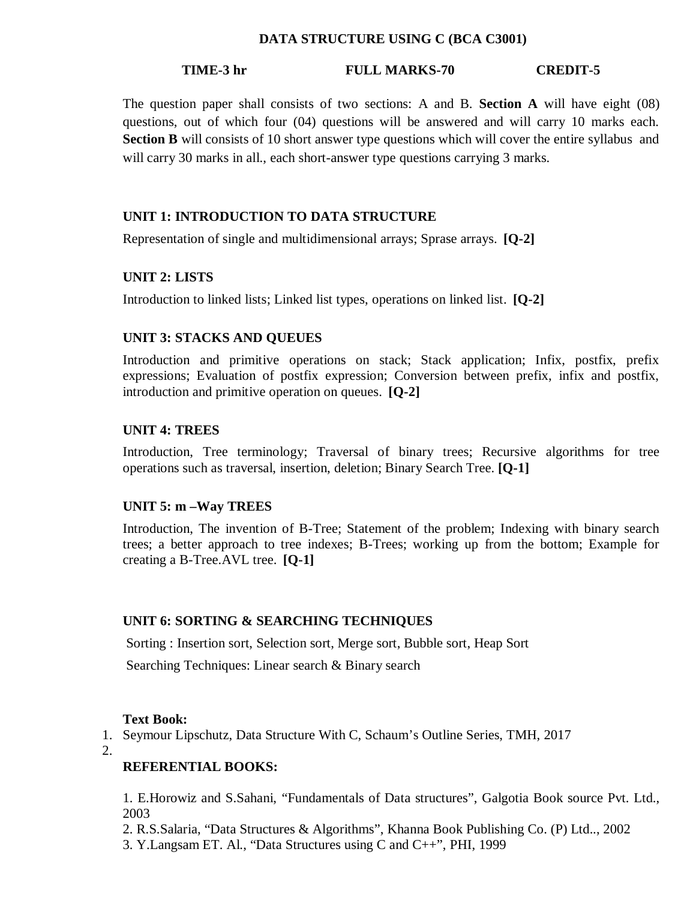#### **DATA STRUCTURE USING C (BCA C3001)**

#### **TIME-3 hr FULL MARKS-70 CREDIT-5**

The question paper shall consists of two sections: A and B. **Section A** will have eight (08) questions, out of which four (04) questions will be answered and will carry 10 marks each. **Section B** will consists of 10 short answer type questions which will cover the entire syllabus and will carry 30 marks in all., each short-answer type questions carrying 3 marks.

### **UNIT 1: INTRODUCTION TO DATA STRUCTURE**

Representation of single and multidimensional arrays; Sprase arrays. **[Q-2]**

#### **UNIT 2: LISTS**

Introduction to linked lists; Linked list types, operations on linked list. **[Q-2]**

## **UNIT 3: STACKS AND QUEUES**

Introduction and primitive operations on stack; Stack application; Infix, postfix, prefix expressions; Evaluation of postfix expression; Conversion between prefix, infix and postfix, introduction and primitive operation on queues. **[Q-2]**

#### **UNIT 4: TREES**

Introduction, Tree terminology; Traversal of binary trees; Recursive algorithms for tree operations such as traversal, insertion, deletion; Binary Search Tree. **[Q-1]**

#### **UNIT 5: m –Way TREES**

Introduction, The invention of B-Tree; Statement of the problem; Indexing with binary search trees; a better approach to tree indexes; B-Trees; working up from the bottom; Example for creating a B-Tree.AVL tree. **[Q-1]**

#### **UNIT 6: SORTING & SEARCHING TECHNIQUES**

Sorting : Insertion sort, Selection sort, Merge sort, Bubble sort, Heap Sort

Searching Techniques: Linear search & Binary search

#### **Text Book:**

1. Seymour Lipschutz, Data Structure With C, Schaum's Outline Series, TMH, 2017

2.

## **REFERENTIAL BOOKS:**

1. E.Horowiz and S.Sahani, "Fundamentals of Data structures", Galgotia Book source Pvt. Ltd., 2003

2. R.S.Salaria, "Data Structures & Algorithms", Khanna Book Publishing Co. (P) Ltd.., 2002

3. Y.Langsam ET. Al., "Data Structures using C and C++", PHI, 1999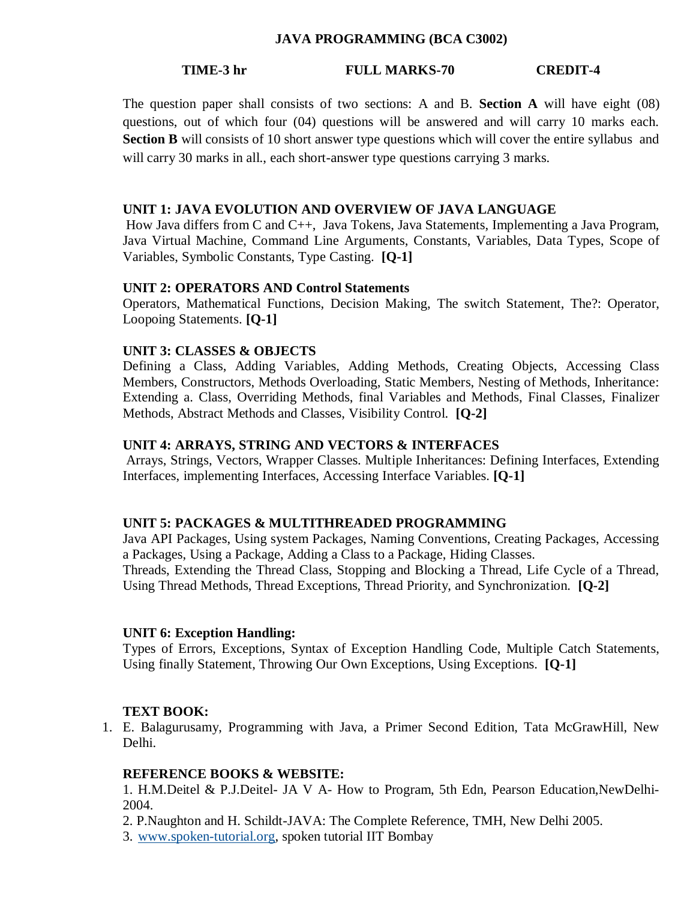#### **JAVA PROGRAMMING (BCA C3002)**

### **TIME-3 hr FULL MARKS-70 CREDIT-4**

The question paper shall consists of two sections: A and B. **Section A** will have eight (08) questions, out of which four (04) questions will be answered and will carry 10 marks each. **Section B** will consists of 10 short answer type questions which will cover the entire syllabus and will carry 30 marks in all., each short-answer type questions carrying 3 marks.

#### **UNIT 1: JAVA EVOLUTION AND OVERVIEW OF JAVA LANGUAGE**

How Java differs from C and C++, Java Tokens, Java Statements, Implementing a Java Program, Java Virtual Machine, Command Line Arguments, Constants, Variables, Data Types, Scope of Variables, Symbolic Constants, Type Casting. **[Q-1]**

#### **UNIT 2: OPERATORS AND Control Statements**

Operators, Mathematical Functions, Decision Making, The switch Statement, The?: Operator, Loopoing Statements. **[Q-1]**

#### **UNIT 3: CLASSES & OBJECTS**

Defining a Class, Adding Variables, Adding Methods, Creating Objects, Accessing Class Members, Constructors, Methods Overloading, Static Members, Nesting of Methods, Inheritance: Extending a. Class, Overriding Methods, final Variables and Methods, Final Classes, Finalizer Methods, Abstract Methods and Classes, Visibility Control. **[Q-2]**

#### **UNIT 4: ARRAYS, STRING AND VECTORS & INTERFACES**

Arrays, Strings, Vectors, Wrapper Classes. Multiple Inheritances: Defining Interfaces, Extending Interfaces, implementing Interfaces, Accessing Interface Variables. **[Q-1]**

#### **UNIT 5: PACKAGES & MULTITHREADED PROGRAMMING**

Java API Packages, Using system Packages, Naming Conventions, Creating Packages, Accessing a Packages, Using a Package, Adding a Class to a Package, Hiding Classes. Threads, Extending the Thread Class, Stopping and Blocking a Thread, Life Cycle of a Thread, Using Thread Methods, Thread Exceptions, Thread Priority, and Synchronization. **[Q-2]**

#### **UNIT 6: Exception Handling:**

Types of Errors, Exceptions, Syntax of Exception Handling Code, Multiple Catch Statements, Using finally Statement, Throwing Our Own Exceptions, Using Exceptions. **[Q-1]**

#### **TEXT BOOK:**

1. E. Balagurusamy, Programming with Java, a Primer Second Edition, Tata McGrawHill, New Delhi.

#### **REFERENCE BOOKS & WEBSITE:**

1. H.M.Deitel & P.J.Deitel- JA V A- How to Program, 5th Edn, Pearson Education,NewDelhi-2004.

2. P.Naughton and H. Schildt-JAVA: The Complete Reference, TMH, New Delhi 2005.

3. www.spoken-tutorial.org, spoken tutorial IIT Bombay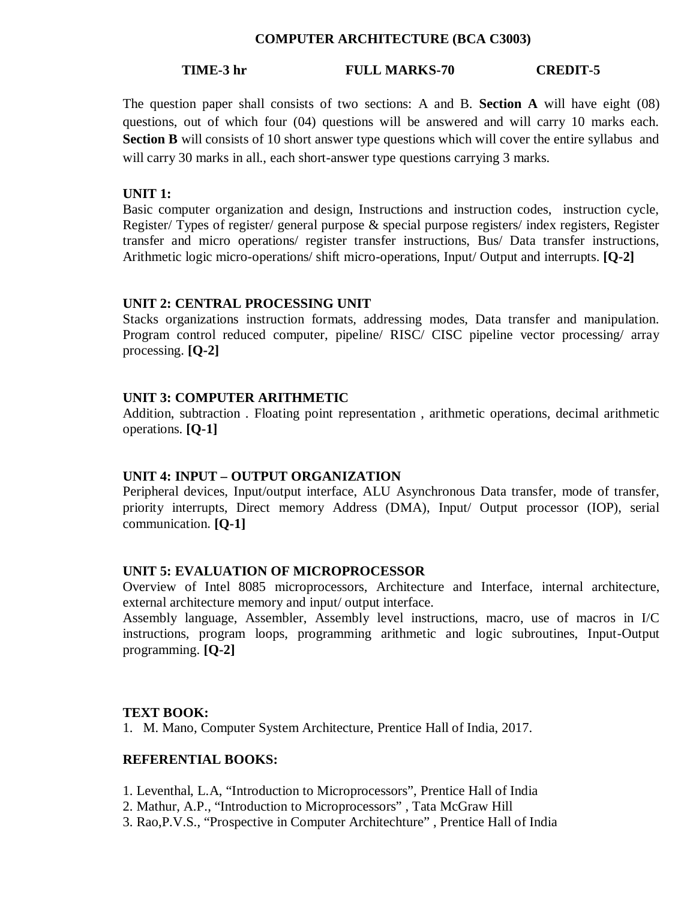#### **COMPUTER ARCHITECTURE (BCA C3003)**

### **TIME-3 hr FULL MARKS-70 CREDIT-5**

The question paper shall consists of two sections: A and B. **Section A** will have eight (08) questions, out of which four (04) questions will be answered and will carry 10 marks each. **Section B** will consists of 10 short answer type questions which will cover the entire syllabus and will carry 30 marks in all., each short-answer type questions carrying 3 marks.

### **UNIT 1:**

Basic computer organization and design, Instructions and instruction codes, instruction cycle, Register/ Types of register/ general purpose & special purpose registers/ index registers, Register transfer and micro operations/ register transfer instructions, Bus/ Data transfer instructions, Arithmetic logic micro-operations/ shift micro-operations, Input/ Output and interrupts. **[Q-2]**

#### **UNIT 2: CENTRAL PROCESSING UNIT**

Stacks organizations instruction formats, addressing modes, Data transfer and manipulation. Program control reduced computer, pipeline/ RISC/ CISC pipeline vector processing/ array processing. **[Q-2]**

## **UNIT 3: COMPUTER ARITHMETIC**

Addition, subtraction . Floating point representation , arithmetic operations, decimal arithmetic operations. **[Q-1]**

#### **UNIT 4: INPUT – OUTPUT ORGANIZATION**

Peripheral devices, Input/output interface, ALU Asynchronous Data transfer, mode of transfer, priority interrupts, Direct memory Address (DMA), Input/ Output processor (IOP), serial communication. **[Q-1]**

### **UNIT 5: EVALUATION OF MICROPROCESSOR**

Overview of Intel 8085 microprocessors, Architecture and Interface, internal architecture, external architecture memory and input/ output interface.

Assembly language, Assembler, Assembly level instructions, macro, use of macros in I/C instructions, program loops, programming arithmetic and logic subroutines, Input-Output programming. **[Q-2]**

#### **TEXT BOOK:**

1. M. Mano, Computer System Architecture, Prentice Hall of India, 2017.

#### **REFERENTIAL BOOKS:**

- 1. Leventhal, L.A, "Introduction to Microprocessors", Prentice Hall of India
- 2. Mathur, A.P., "Introduction to Microprocessors" , Tata McGraw Hill
- 3. Rao,P.V.S., "Prospective in Computer Architechture" , Prentice Hall of India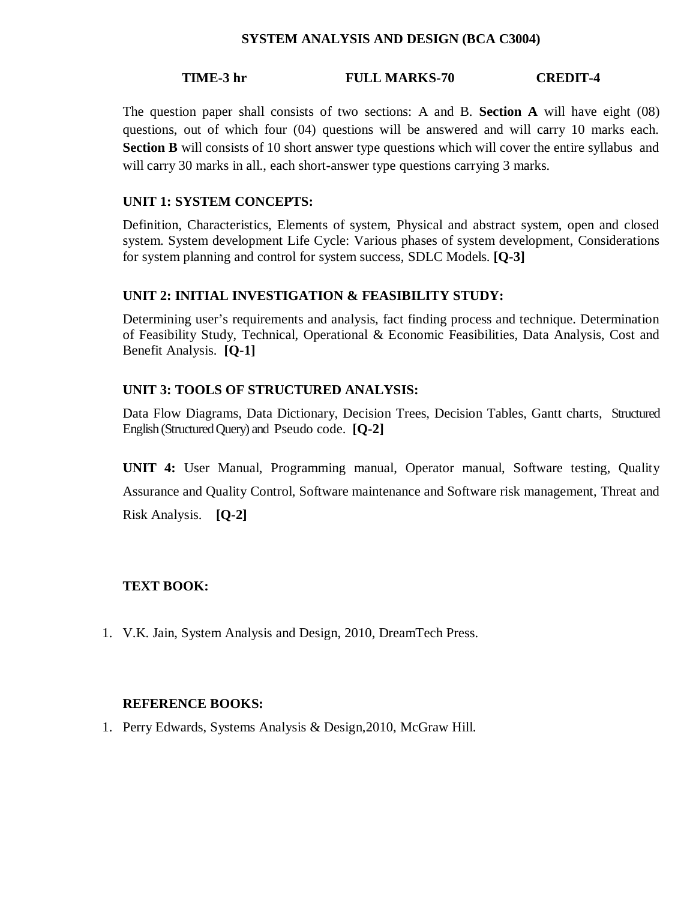### **SYSTEM ANALYSIS AND DESIGN (BCA C3004)**

## **TIME-3 hr FULL MARKS-70 CREDIT-4**

The question paper shall consists of two sections: A and B. **Section A** will have eight (08) questions, out of which four (04) questions will be answered and will carry 10 marks each. **Section B** will consists of 10 short answer type questions which will cover the entire syllabus and will carry 30 marks in all., each short-answer type questions carrying 3 marks.

### **UNIT 1: SYSTEM CONCEPTS:**

Definition, Characteristics, Elements of system, Physical and abstract system, open and closed system. System development Life Cycle: Various phases of system development, Considerations for system planning and control for system success, SDLC Models. **[Q-3]**

## **UNIT 2: INITIAL INVESTIGATION & FEASIBILITY STUDY:**

Determining user's requirements and analysis, fact finding process and technique. Determination of Feasibility Study, Technical, Operational & Economic Feasibilities, Data Analysis, Cost and Benefit Analysis. **[Q-1]**

## **UNIT 3: TOOLS OF STRUCTURED ANALYSIS:**

Data Flow Diagrams, Data Dictionary, Decision Trees, Decision Tables, Gantt charts, Structured English (Structured Query) and Pseudo code. **[Q-2]**

**UNIT 4:** User Manual, Programming manual, Operator manual, Software testing, Quality Assurance and Quality Control, Software maintenance and Software risk management, Threat and

Risk Analysis. **[Q-2]**

## **TEXT BOOK:**

1. V.K. Jain, System Analysis and Design, 2010, DreamTech Press.

#### **REFERENCE BOOKS:**

1. Perry Edwards, Systems Analysis & Design,2010, McGraw Hill.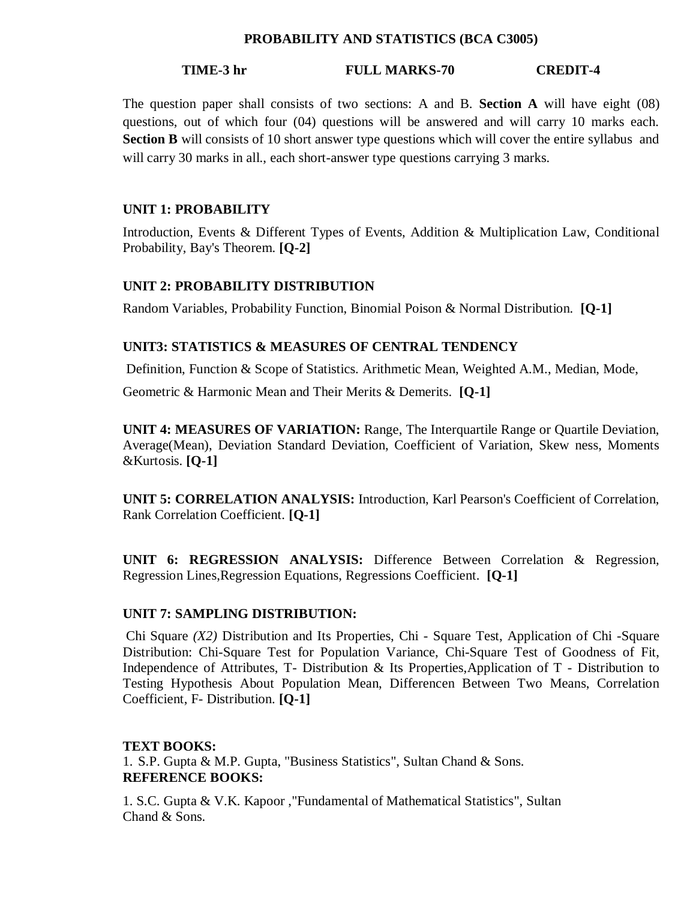#### **PROBABILITY AND STATISTICS (BCA C3005)**

### **TIME-3 hr FULL MARKS-70 CREDIT-4**

The question paper shall consists of two sections: A and B. **Section A** will have eight (08) questions, out of which four (04) questions will be answered and will carry 10 marks each. **Section B** will consists of 10 short answer type questions which will cover the entire syllabus and will carry 30 marks in all., each short-answer type questions carrying 3 marks.

## **UNIT 1: PROBABILITY**

Introduction, Events & Different Types of Events, Addition & Multiplication Law, Conditional Probability, Bay's Theorem. **[Q-2]**

#### **UNIT 2: PROBABILITY DISTRIBUTION**

Random Variables, Probability Function, Binomial Poison & Normal Distribution. **[Q-1]**

## **UNIT3: STATISTICS & MEASURES OF CENTRAL TENDENCY**

Definition, Function & Scope of Statistics. Arithmetic Mean, Weighted A.M., Median, Mode,

Geometric & Harmonic Mean and Their Merits & Demerits. **[Q-1]**

**UNIT 4: MEASURES OF VARIATION:** Range, The Interquartile Range or Quartile Deviation, Average(Mean), Deviation Standard Deviation, Coefficient of Variation, Skew ness, Moments &Kurtosis. **[Q-1]**

**UNIT 5: CORRELATION ANALYSIS:** Introduction, Karl Pearson's Coefficient of Correlation, Rank Correlation Coefficient. **[Q-1]**

**UNIT 6: REGRESSION ANALYSIS:** Difference Between Correlation & Regression, Regression Lines,Regression Equations, Regressions Coefficient. **[Q-1]**

### **UNIT 7: SAMPLING DISTRIBUTION:**

Chi Square *(X2)* Distribution and Its Properties, Chi - Square Test, Application of Chi -Square Distribution: Chi-Square Test for Population Variance, Chi-Square Test of Goodness of Fit, Independence of Attributes, T- Distribution & Its Properties,Application of T - Distribution to Testing Hypothesis About Population Mean, Differencen Between Two Means, Correlation Coefficient, F- Distribution. **[Q-1]**

#### **TEXT BOOKS:**

1. S.P. Gupta & M.P. Gupta, "Business Statistics", Sultan Chand & Sons. **REFERENCE BOOKS:**

1. S.C. Gupta & V.K. Kapoor ,"Fundamental of Mathematical Statistics", Sultan Chand & Sons.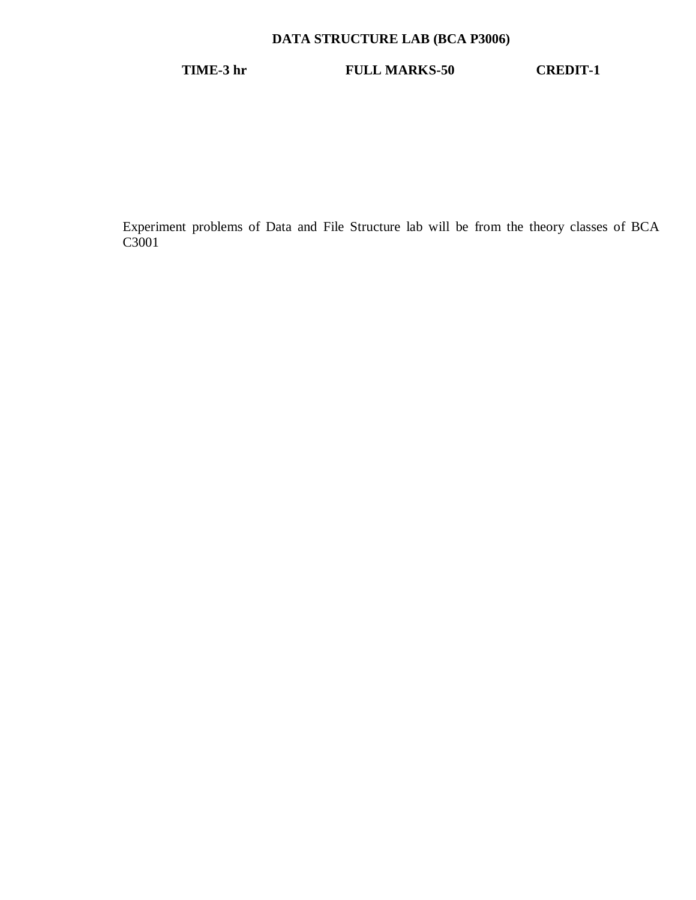## **DATA STRUCTURE LAB (BCA P3006)**

**TIME-3 hr FULL MARKS-50 CREDIT-1**

Experiment problems of Data and File Structure lab will be from the theory classes of BCA C3001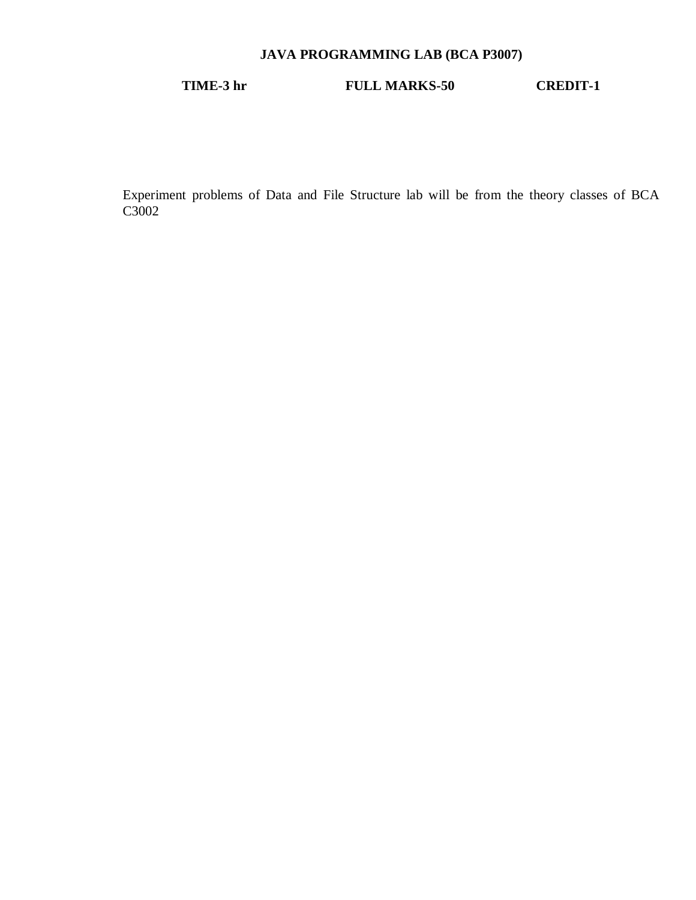## **JAVA PROGRAMMING LAB (BCA P3007)**

## **TIME-3 hr FULL MARKS-50 CREDIT-1**

Experiment problems of Data and File Structure lab will be from the theory classes of BCA C3002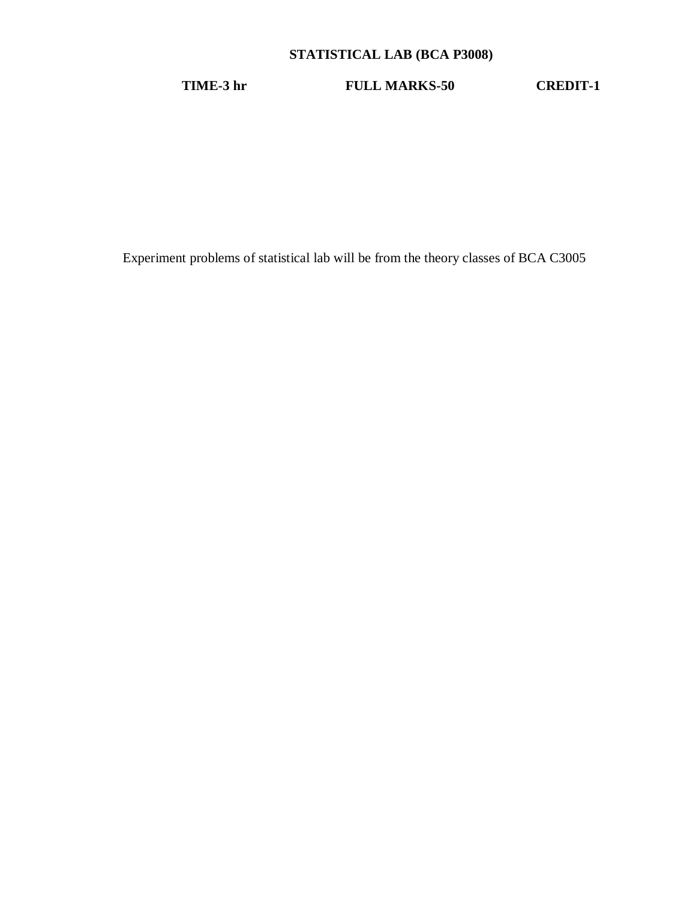## **STATISTICAL LAB (BCA P3008)**

**TIME-3 hr FULL MARKS-50 CREDIT-1**

Experiment problems of statistical lab will be from the theory classes of BCA C3005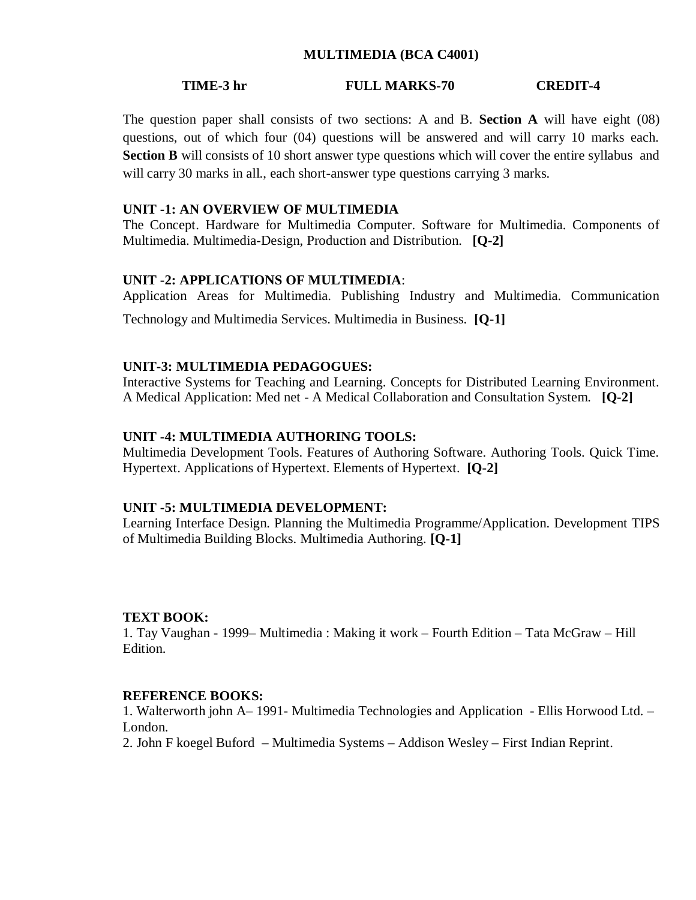#### **MULTIMEDIA (BCA C4001)**

#### **TIME-3 hr FULL MARKS-70 CREDIT-4**

The question paper shall consists of two sections: A and B. **Section A** will have eight (08) questions, out of which four (04) questions will be answered and will carry 10 marks each. **Section B** will consists of 10 short answer type questions which will cover the entire syllabus and will carry 30 marks in all., each short-answer type questions carrying 3 marks.

#### **UNIT -1: AN OVERVIEW OF MULTIMEDIA**

The Concept. Hardware for Multimedia Computer. Software for Multimedia. Components of Multimedia. Multimedia-Design, Production and Distribution. **[Q-2]**

#### **UNIT -2: APPLICATIONS OF MULTIMEDIA**:

Application Areas for Multimedia. Publishing Industry and Multimedia. Communication

Technology and Multimedia Services. Multimedia in Business. **[Q-1]**

#### **UNIT-3: MULTIMEDIA PEDAGOGUES:**

Interactive Systems for Teaching and Learning. Concepts for Distributed Learning Environment. A Medical Application: Med net - A Medical Collaboration and Consultation System. **[Q-2]**

#### **UNIT -4: MULTIMEDIA AUTHORING TOOLS:**

Multimedia Development Tools. Features of Authoring Software. Authoring Tools. Quick Time. Hypertext. Applications of Hypertext. Elements of Hypertext. **[Q-2]**

#### **UNIT -5: MULTIMEDIA DEVELOPMENT:**

Learning Interface Design. Planning the Multimedia Programme/Application. Development TIPS of Multimedia Building Blocks. Multimedia Authoring. **[Q-1]**

#### **TEXT BOOK:**

1. Tay Vaughan - 1999– Multimedia : Making it work – Fourth Edition – Tata McGraw – Hill Edition.

#### **REFERENCE BOOKS:**

1. Walterworth john A– 1991- Multimedia Technologies and Application - Ellis Horwood Ltd. – London.

2. John F koegel Buford – Multimedia Systems – Addison Wesley – First Indian Reprint.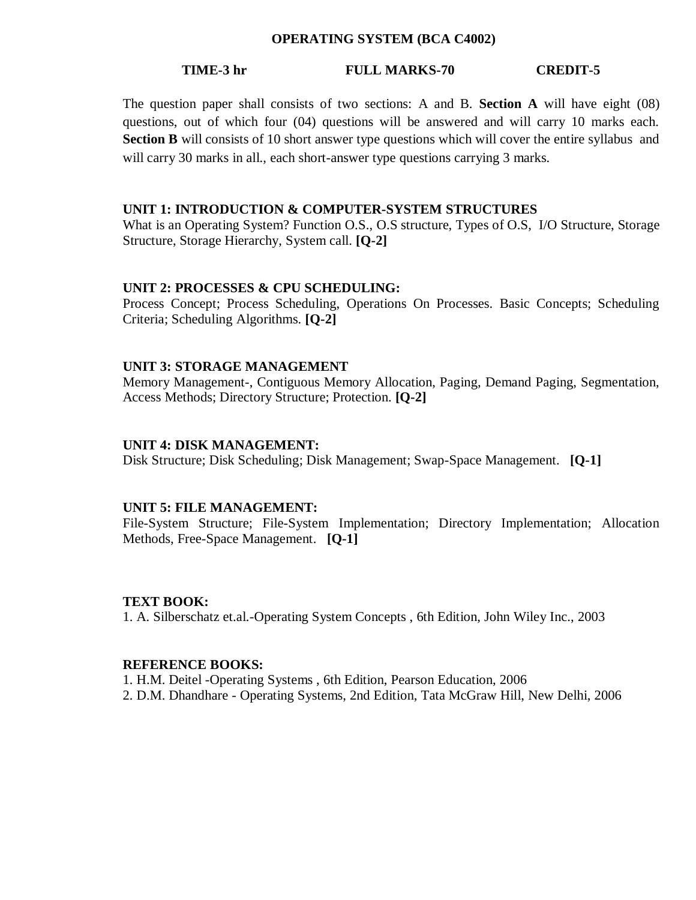#### **OPERATING SYSTEM (BCA C4002)**

#### **TIME-3 hr FULL MARKS-70 CREDIT-5**

The question paper shall consists of two sections: A and B. **Section A** will have eight (08) questions, out of which four (04) questions will be answered and will carry 10 marks each. **Section B** will consists of 10 short answer type questions which will cover the entire syllabus and will carry 30 marks in all., each short-answer type questions carrying 3 marks.

#### **UNIT 1: INTRODUCTION & COMPUTER-SYSTEM STRUCTURES**

What is an Operating System? Function O.S., O.S structure, Types of O.S, I/O Structure, Storage Structure, Storage Hierarchy, System call. **[Q-2]**

#### **UNIT 2: PROCESSES & CPU SCHEDULING:**

Process Concept; Process Scheduling, Operations On Processes. Basic Concepts; Scheduling Criteria; Scheduling Algorithms. **[Q-2]**

#### **UNIT 3: STORAGE MANAGEMENT**

Memory Management-, Contiguous Memory Allocation, Paging, Demand Paging, Segmentation, Access Methods; Directory Structure; Protection. **[Q-2]**

#### **UNIT 4: DISK MANAGEMENT:**

Disk Structure; Disk Scheduling; Disk Management; Swap-Space Management. **[Q-1]**

#### **UNIT 5: FILE MANAGEMENT:**

File-System Structure; File-System Implementation; Directory Implementation; Allocation Methods, Free-Space Management. **[Q-1]**

#### **TEXT BOOK:**

1. A. Silberschatz et.al.-Operating System Concepts , 6th Edition, John Wiley Inc., 2003

## **REFERENCE BOOKS:**

1. H.M. Deitel -Operating Systems , 6th Edition, Pearson Education, 2006

2. D.M. Dhandhare - Operating Systems, 2nd Edition, Tata McGraw Hill, New Delhi, 2006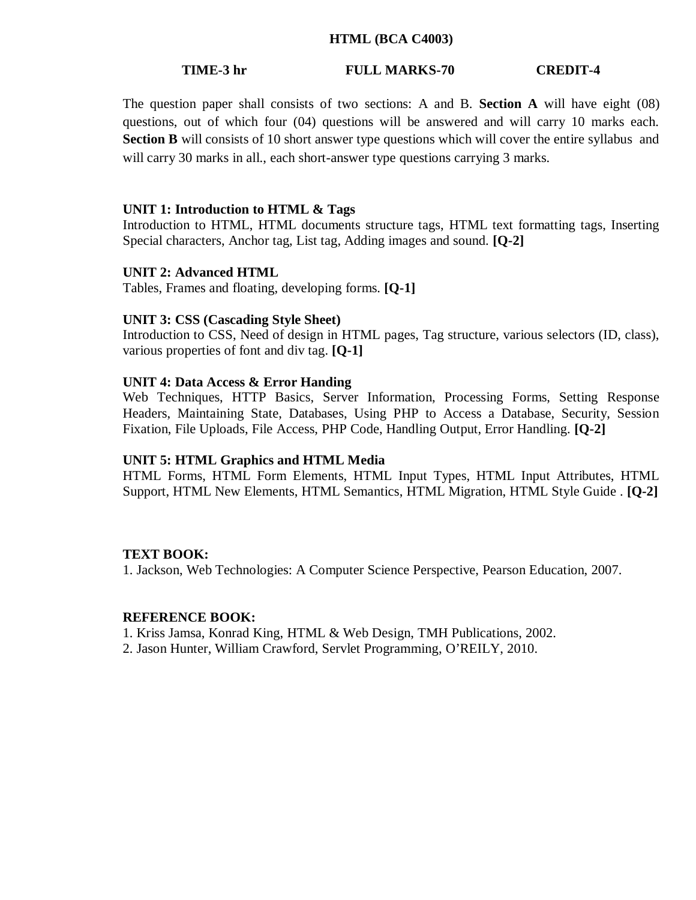#### **HTML (BCA C4003)**

#### **TIME-3 hr FULL MARKS-70 CREDIT-4**

The question paper shall consists of two sections: A and B. **Section A** will have eight (08) questions, out of which four (04) questions will be answered and will carry 10 marks each. **Section B** will consists of 10 short answer type questions which will cover the entire syllabus and will carry 30 marks in all., each short-answer type questions carrying 3 marks.

#### **UNIT 1: Introduction to HTML & Tags**

Introduction to HTML, HTML documents structure tags, HTML text formatting tags, Inserting Special characters, Anchor tag, List tag, Adding images and sound. **[Q-2]**

#### **UNIT 2: Advanced HTML**

Tables, Frames and floating, developing forms. **[Q-1]**

## **UNIT 3: CSS (Cascading Style Sheet)**

Introduction to CSS, Need of design in HTML pages, Tag structure, various selectors (ID, class), various properties of font and div tag. **[Q-1]**

#### **UNIT 4: Data Access & Error Handing**

Web Techniques, HTTP Basics, Server Information, Processing Forms, Setting Response Headers, Maintaining State, Databases, Using PHP to Access a Database, Security, Session Fixation, File Uploads, File Access, PHP Code, Handling Output, Error Handling. **[Q-2]**

#### **UNIT 5: HTML Graphics and HTML Media**

HTML Forms, HTML Form Elements, HTML Input Types, HTML Input Attributes, HTML Support, HTML New Elements, HTML Semantics, HTML Migration, HTML Style Guide . **[Q-2]**

#### **TEXT BOOK:**

1. Jackson, Web Technologies: A Computer Science Perspective, Pearson Education, 2007.

#### **REFERENCE BOOK:**

1. Kriss Jamsa, Konrad King, HTML & Web Design, TMH Publications, 2002.

2. Jason Hunter, William Crawford, Servlet Programming, O'REILY, 2010.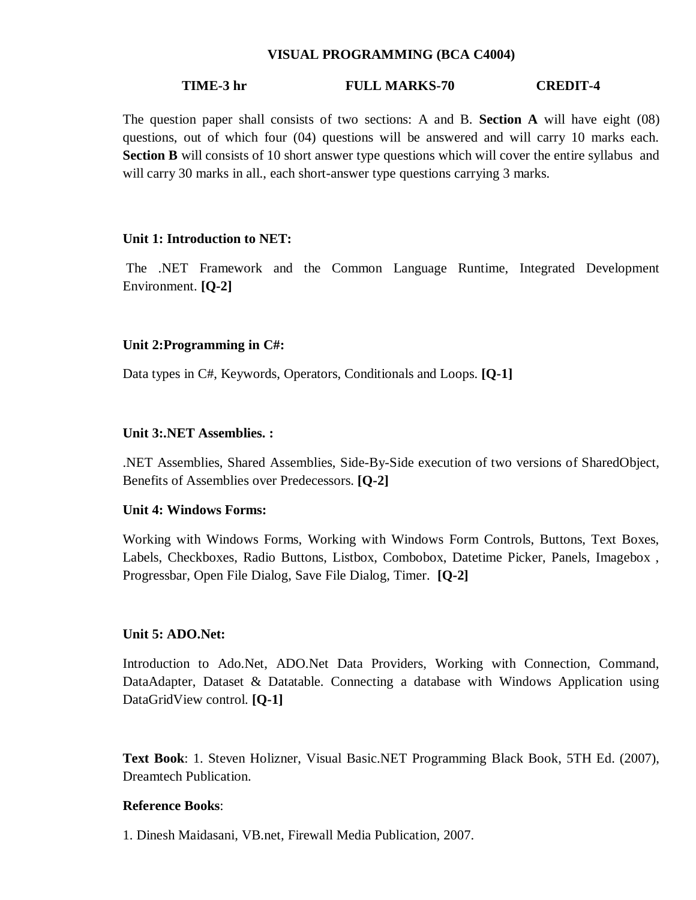#### **VISUAL PROGRAMMING (BCA C4004)**

#### **TIME-3 hr FULL MARKS-70 CREDIT-4**

The question paper shall consists of two sections: A and B. **Section A** will have eight (08) questions, out of which four (04) questions will be answered and will carry 10 marks each. **Section B** will consists of 10 short answer type questions which will cover the entire syllabus and will carry 30 marks in all., each short-answer type questions carrying 3 marks.

#### **Unit 1: Introduction to NET:**

The .NET Framework and the Common Language Runtime, Integrated Development Environment. **[Q-2]**

#### **Unit 2:Programming in C#:**

Data types in C#, Keywords, Operators, Conditionals and Loops. **[Q-1]**

#### **Unit 3:.NET Assemblies. :**

.NET Assemblies, Shared Assemblies, Side-By-Side execution of two versions of SharedObject, Benefits of Assemblies over Predecessors. **[Q-2]**

#### **Unit 4: Windows Forms:**

Working with Windows Forms, Working with Windows Form Controls, Buttons, Text Boxes, Labels, Checkboxes, Radio Buttons, Listbox, Combobox, Datetime Picker, Panels, Imagebox , Progressbar, Open File Dialog, Save File Dialog, Timer. **[Q-2]**

#### **Unit 5: ADO.Net:**

Introduction to Ado.Net, ADO.Net Data Providers, Working with Connection, Command, DataAdapter, Dataset & Datatable. Connecting a database with Windows Application using DataGridView control. **[Q-1]**

**Text Book**: 1. Steven Holizner, Visual Basic.NET Programming Black Book, 5TH Ed. (2007), Dreamtech Publication.

#### **Reference Books**:

1. Dinesh Maidasani, VB.net, Firewall Media Publication, 2007.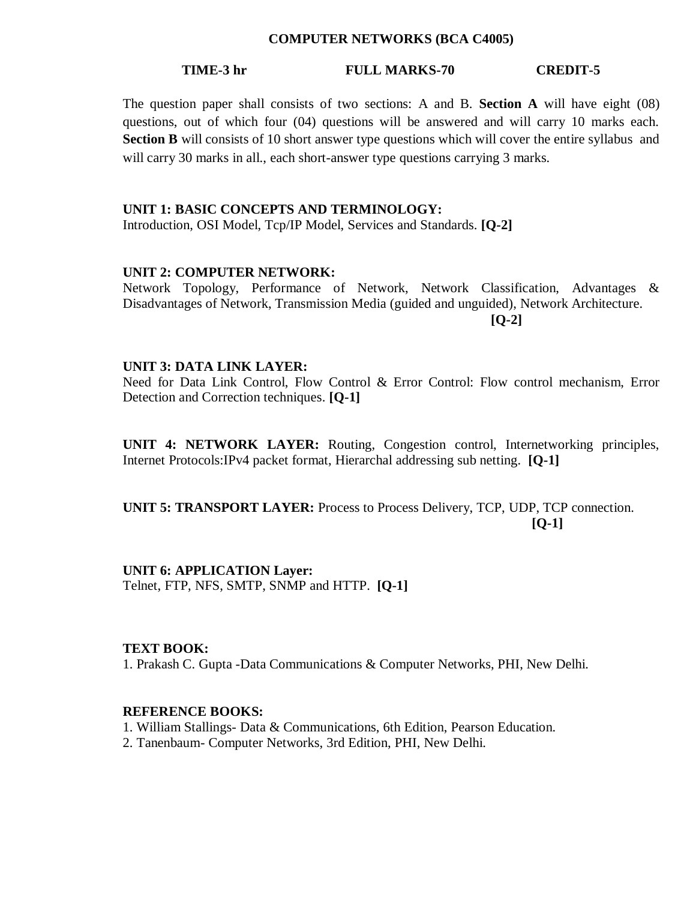#### **COMPUTER NETWORKS (BCA C4005)**

#### **TIME-3 hr FULL MARKS-70 CREDIT-5**

The question paper shall consists of two sections: A and B. **Section A** will have eight (08) questions, out of which four (04) questions will be answered and will carry 10 marks each. **Section B** will consists of 10 short answer type questions which will cover the entire syllabus and will carry 30 marks in all., each short-answer type questions carrying 3 marks.

#### **UNIT 1: BASIC CONCEPTS AND TERMINOLOGY:**

Introduction, OSI Model, Tcp/IP Model, Services and Standards. **[Q-2]**

#### **UNIT 2: COMPUTER NETWORK:**

Network Topology, Performance of Network, Network Classification, Advantages & Disadvantages of Network, Transmission Media (guided and unguided), Network Architecture. **[Q-2]**

#### **UNIT 3: DATA LINK LAYER:**

Need for Data Link Control, Flow Control & Error Control: Flow control mechanism, Error Detection and Correction techniques. **[Q-1]**

**UNIT 4: NETWORK LAYER:** Routing, Congestion control, Internetworking principles, Internet Protocols:IPv4 packet format, Hierarchal addressing sub netting. **[Q-1]**

**UNIT 5: TRANSPORT LAYER:** Process to Process Delivery, TCP, UDP, TCP connection. **[Q-1]**

**UNIT 6: APPLICATION Layer:**  Telnet, FTP, NFS, SMTP, SNMP and HTTP. **[Q-1]**

#### **TEXT BOOK:**

1. Prakash C. Gupta -Data Communications & Computer Networks, PHI, New Delhi.

#### **REFERENCE BOOKS:**

1. William Stallings- Data & Communications, 6th Edition, Pearson Education.

2. Tanenbaum- Computer Networks, 3rd Edition, PHI, New Delhi.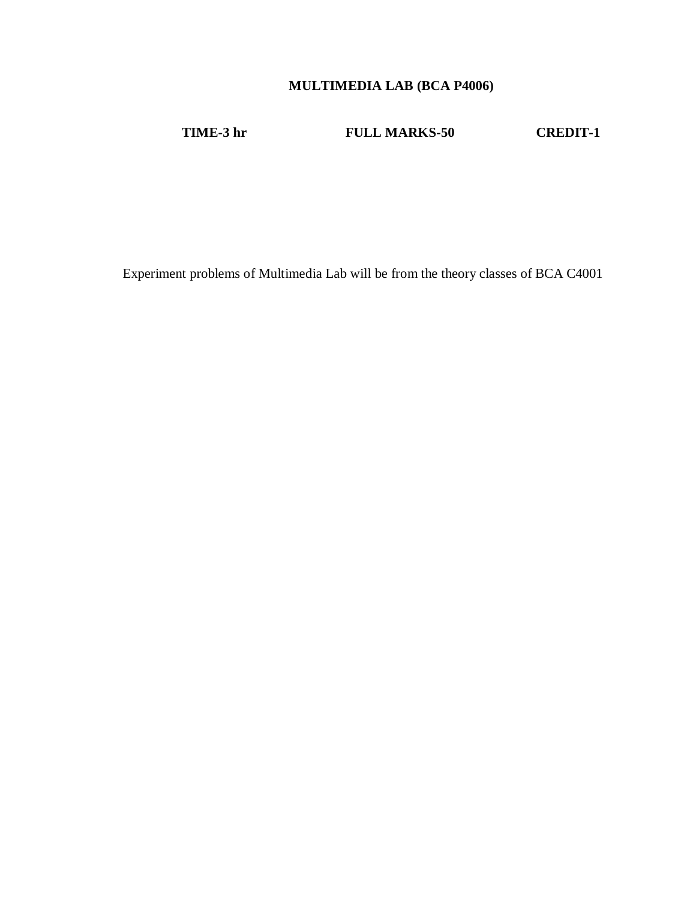## **MULTIMEDIA LAB (BCA P4006)**

**TIME-3 hr FULL MARKS-50 CREDIT-1**

Experiment problems of Multimedia Lab will be from the theory classes of BCA C4001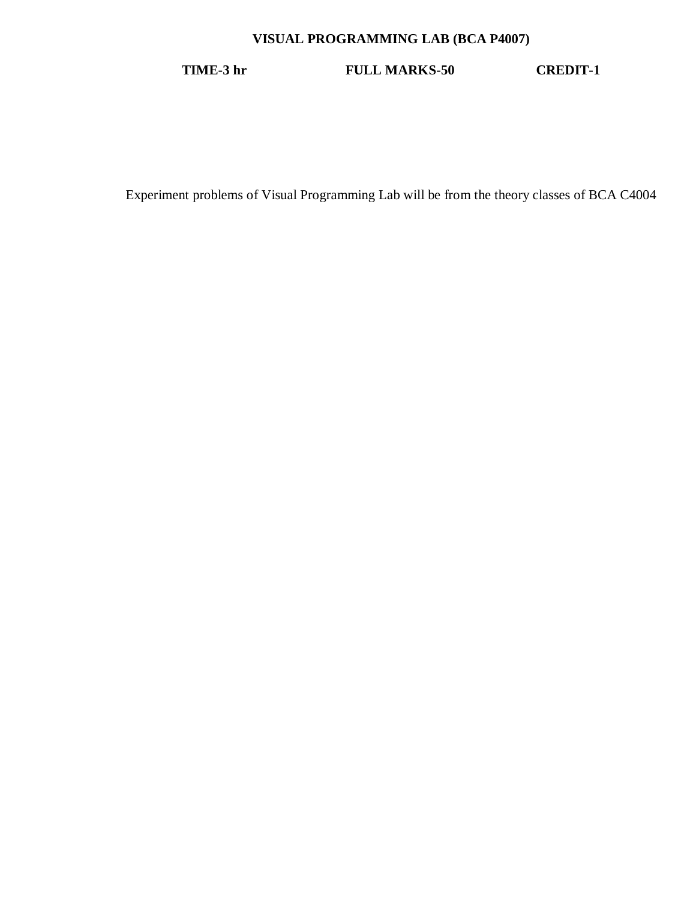## **VISUAL PROGRAMMING LAB (BCA P4007)**

**TIME-3 hr FULL MARKS-50 CREDIT-1**

Experiment problems of Visual Programming Lab will be from the theory classes of BCA C4004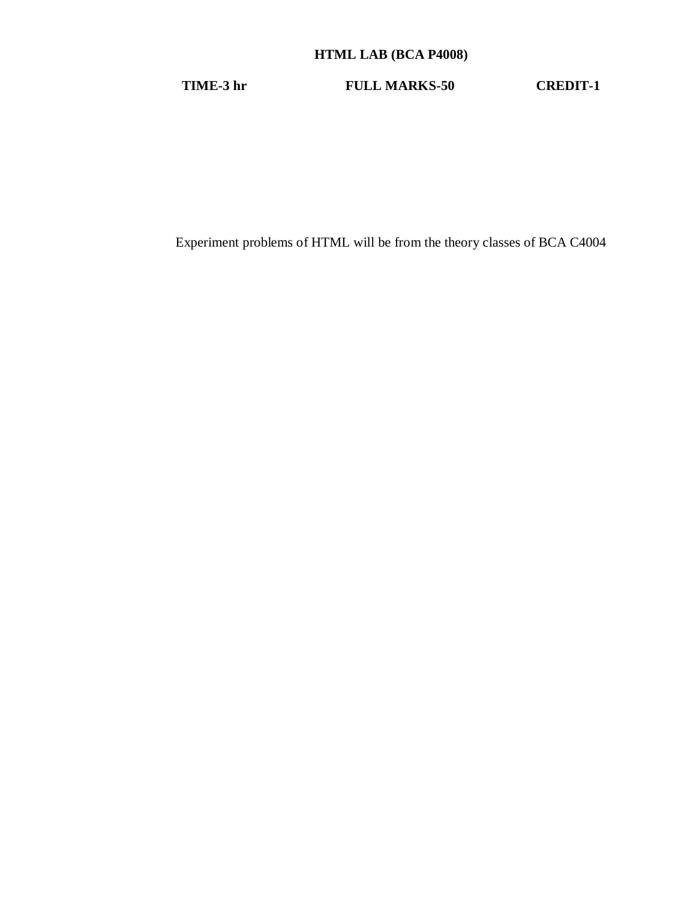## **HTML LAB (BCA P4008)**

**TIME-3 hr FULL MARKS-50 CREDIT-1**

Experiment problems of HTML will be from the theory classes of BCA C4004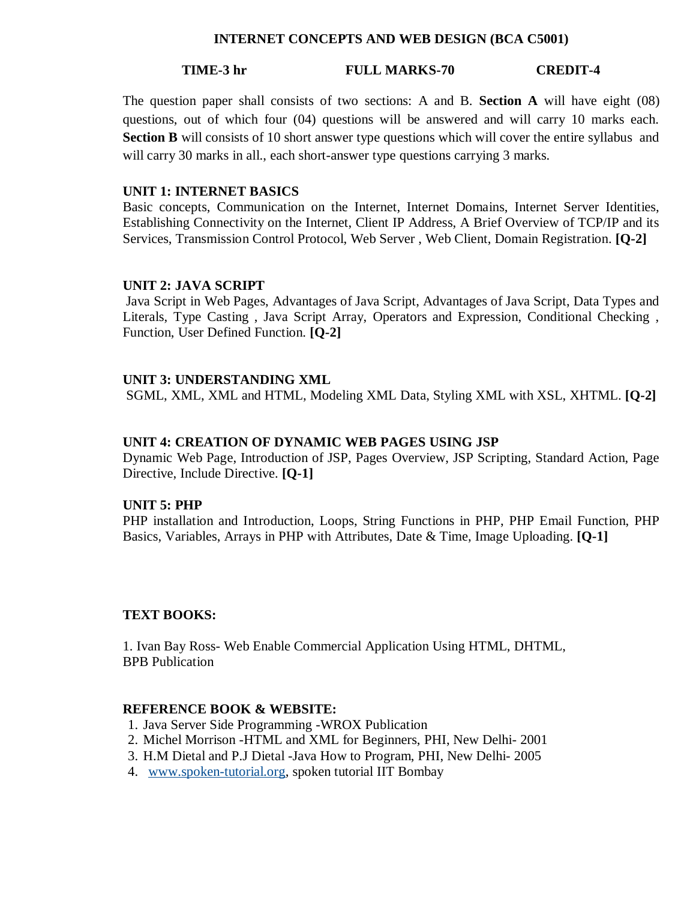#### **INTERNET CONCEPTS AND WEB DESIGN (BCA C5001)**

#### **TIME-3 hr FULL MARKS-70 CREDIT-4**

The question paper shall consists of two sections: A and B. **Section A** will have eight (08) questions, out of which four (04) questions will be answered and will carry 10 marks each. **Section B** will consists of 10 short answer type questions which will cover the entire syllabus and will carry 30 marks in all., each short-answer type questions carrying 3 marks.

#### **UNIT 1: INTERNET BASICS**

Basic concepts, Communication on the Internet, Internet Domains, Internet Server Identities, Establishing Connectivity on the Internet, Client IP Address, A Brief Overview of TCP/IP and its Services, Transmission Control Protocol, Web Server , Web Client, Domain Registration. **[Q-2]**

#### **UNIT 2: JAVA SCRIPT**

Java Script in Web Pages, Advantages of Java Script, Advantages of Java Script, Data Types and Literals, Type Casting , Java Script Array, Operators and Expression, Conditional Checking , Function, User Defined Function. **[Q-2]**

#### **UNIT 3: UNDERSTANDING XML**

SGML, XML, XML and HTML, Modeling XML Data, Styling XML with XSL, XHTML. **[Q-2]**

#### **UNIT 4: CREATION OF DYNAMIC WEB PAGES USING JSP**

Dynamic Web Page, Introduction of JSP, Pages Overview, JSP Scripting, Standard Action, Page Directive, Include Directive. **[Q-1]**

#### **UNIT 5: PHP**

PHP installation and Introduction, Loops, String Functions in PHP, PHP Email Function, PHP Basics, Variables, Arrays in PHP with Attributes, Date & Time, Image Uploading. **[Q-1]**

#### **TEXT BOOKS:**

1. Ivan Bay Ross- Web Enable Commercial Application Using HTML, DHTML, BPB Publication

#### **REFERENCE BOOK & WEBSITE:**

- 1. Java Server Side Programming -WROX Publication
- 2. Michel Morrison -HTML and XML for Beginners, PHI, New Delhi- 2001
- 3. H.M Dietal and P.J Dietal -Java How to Program, PHI, New Delhi- 2005
- 4. www.spoken-tutorial.org, spoken tutorial IIT Bombay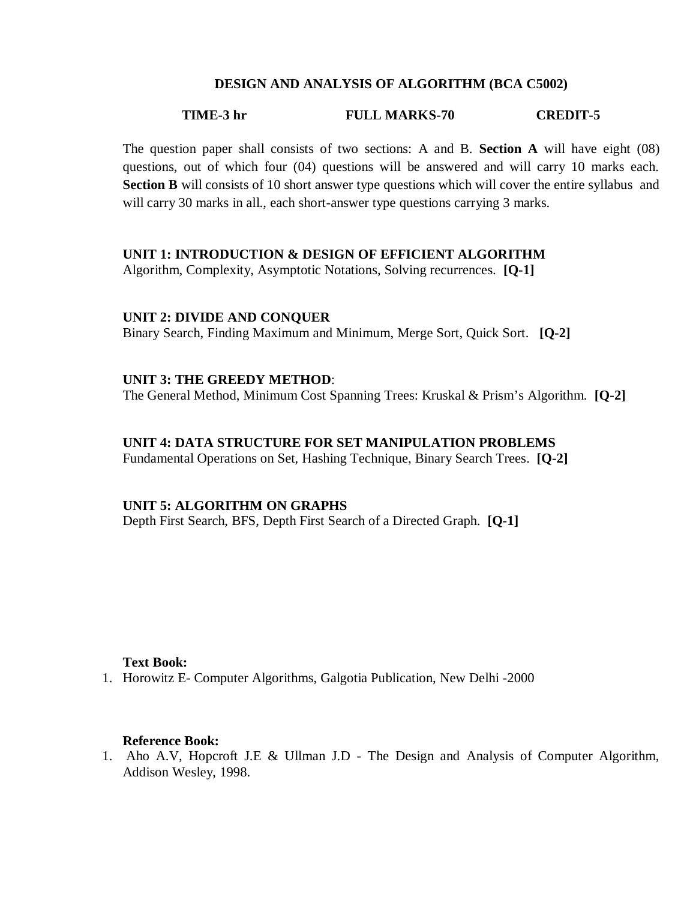#### **DESIGN AND ANALYSIS OF ALGORITHM (BCA C5002)**

#### **TIME-3 hr FULL MARKS-70 CREDIT-5**

The question paper shall consists of two sections: A and B. **Section A** will have eight (08) questions, out of which four (04) questions will be answered and will carry 10 marks each. **Section B** will consists of 10 short answer type questions which will cover the entire syllabus and will carry 30 marks in all., each short-answer type questions carrying 3 marks.

#### **UNIT 1: INTRODUCTION & DESIGN OF EFFICIENT ALGORITHM**

Algorithm, Complexity, Asymptotic Notations, Solving recurrences. **[Q-1]**

#### **UNIT 2: DIVIDE AND CONQUER**

Binary Search, Finding Maximum and Minimum, Merge Sort, Quick Sort. **[Q-2]**

#### **UNIT 3: THE GREEDY METHOD**:

The General Method, Minimum Cost Spanning Trees: Kruskal & Prism's Algorithm. **[Q-2]**

#### **UNIT 4: DATA STRUCTURE FOR SET MANIPULATION PROBLEMS**

Fundamental Operations on Set, Hashing Technique, Binary Search Trees. **[Q-2]**

#### **UNIT 5: ALGORITHM ON GRAPHS**

Depth First Search, BFS, Depth First Search of a Directed Graph. **[Q-1]**

#### **Text Book:**

1. Horowitz E- Computer Algorithms, Galgotia Publication, New Delhi -2000

#### **Reference Book:**

1. Aho A.V, Hopcroft J.E & Ullman J.D - The Design and Analysis of Computer Algorithm, Addison Wesley, 1998.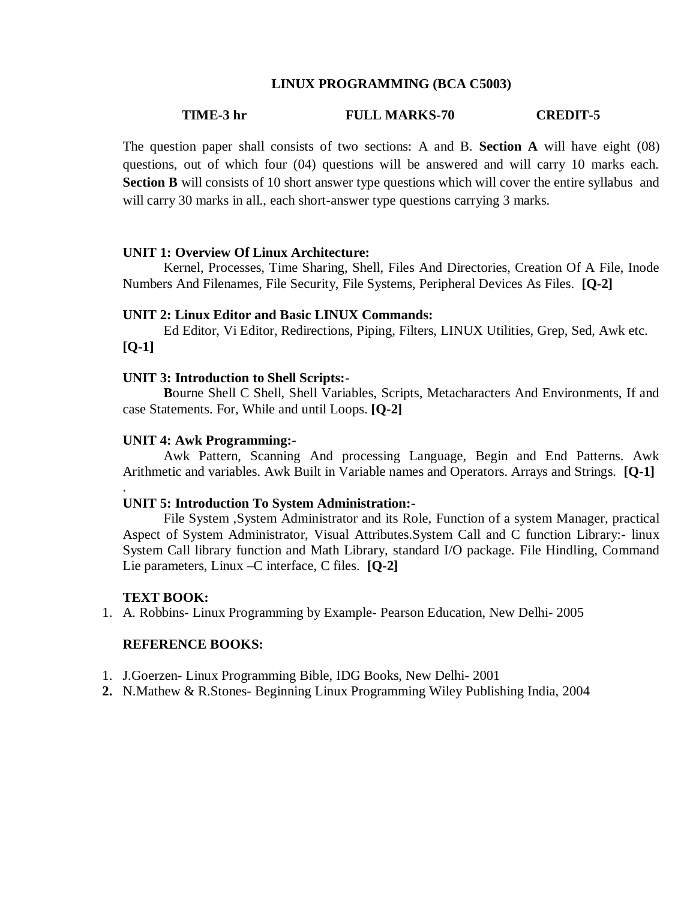#### **LINUX PROGRAMMING (BCA C5003)**

#### **TIME-3 hr FULL MARKS-70 CREDIT-5**

The question paper shall consists of two sections: A and B. **Section A** will have eight (08) questions, out of which four (04) questions will be answered and will carry 10 marks each. **Section B** will consists of 10 short answer type questions which will cover the entire syllabus and will carry 30 marks in all., each short-answer type questions carrying 3 marks.

#### **UNIT 1: Overview Of Linux Architecture:**

Kernel, Processes, Time Sharing, Shell, Files And Directories, Creation Of A File, Inode Numbers And Filenames, File Security, File Systems, Peripheral Devices As Files. **[Q-2]**

#### **UNIT 2: Linux Editor and Basic LINUX Commands:**

Ed Editor, Vi Editor, Redirections, Piping, Filters, LINUX Utilities, Grep, Sed, Awk etc. **[Q-1]**

#### **UNIT 3: Introduction to Shell Scripts:-**

**B**ourne Shell C Shell, Shell Variables, Scripts, Metacharacters And Environments, If and case Statements. For, While and until Loops. **[Q-2]**

#### **UNIT 4: Awk Programming:-**

Awk Pattern, Scanning And processing Language, Begin and End Patterns. Awk Arithmetic and variables. Awk Built in Variable names and Operators. Arrays and Strings. **[Q-1]**

#### **UNIT 5: Introduction To System Administration:-**

File System ,System Administrator and its Role, Function of a system Manager, practical Aspect of System Administrator, Visual Attributes.System Call and C function Library:- linux System Call library function and Math Library, standard I/O package. File Hindling, Command Lie parameters, Linux –C interface, C files. **[Q-2]**

#### **TEXT BOOK:**

.

1. A. Robbins- Linux Programming by Example- Pearson Education, New Delhi- 2005

### **REFERENCE BOOKS:**

- 1. J.Goerzen- Linux Programming Bible, IDG Books, New Delhi- 2001
- **2.** N.Mathew & R.Stones- Beginning Linux Programming Wiley Publishing India, 2004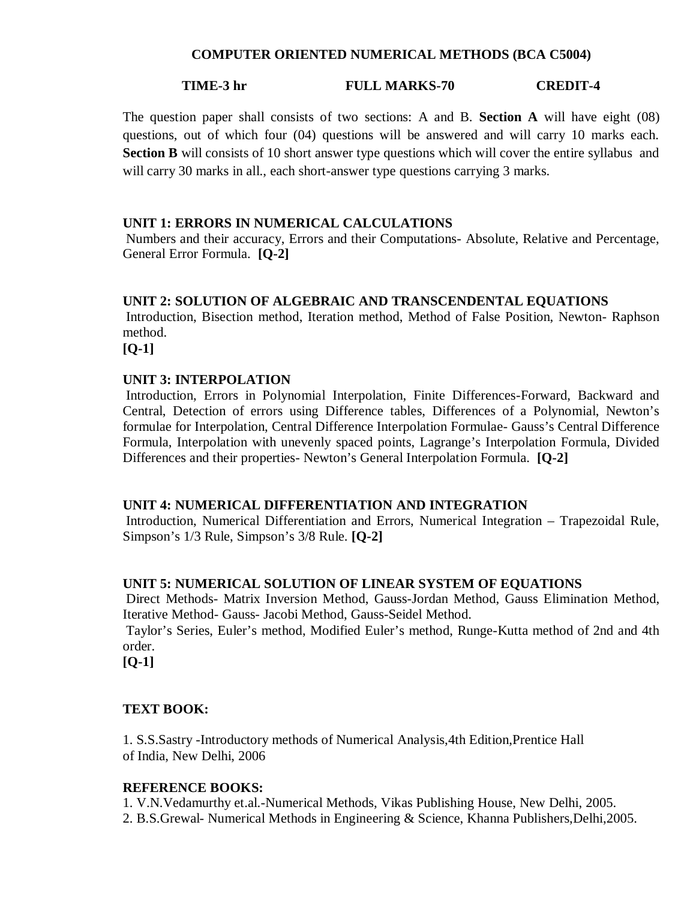#### **COMPUTER ORIENTED NUMERICAL METHODS (BCA C5004)**

#### **TIME-3 hr FULL MARKS-70 CREDIT-4**

The question paper shall consists of two sections: A and B. **Section A** will have eight (08) questions, out of which four (04) questions will be answered and will carry 10 marks each. **Section B** will consists of 10 short answer type questions which will cover the entire syllabus and will carry 30 marks in all., each short-answer type questions carrying 3 marks.

#### **UNIT 1: ERRORS IN NUMERICAL CALCULATIONS**

Numbers and their accuracy, Errors and their Computations- Absolute, Relative and Percentage, General Error Formula. **[Q-2]**

#### **UNIT 2: SOLUTION OF ALGEBRAIC AND TRANSCENDENTAL EQUATIONS**

Introduction, Bisection method, Iteration method, Method of False Position, Newton- Raphson method.

**[Q-1]**

#### **UNIT 3: INTERPOLATION**

Introduction, Errors in Polynomial Interpolation, Finite Differences-Forward, Backward and Central, Detection of errors using Difference tables, Differences of a Polynomial, Newton's formulae for Interpolation, Central Difference Interpolation Formulae- Gauss's Central Difference Formula, Interpolation with unevenly spaced points, Lagrange's Interpolation Formula, Divided Differences and their properties- Newton's General Interpolation Formula. **[Q-2]**

#### **UNIT 4: NUMERICAL DIFFERENTIATION AND INTEGRATION**

Introduction, Numerical Differentiation and Errors, Numerical Integration – Trapezoidal Rule, Simpson's 1/3 Rule, Simpson's 3/8 Rule. **[Q-2]**

#### **UNIT 5: NUMERICAL SOLUTION OF LINEAR SYSTEM OF EQUATIONS**

Direct Methods- Matrix Inversion Method, Gauss-Jordan Method, Gauss Elimination Method, Iterative Method- Gauss- Jacobi Method, Gauss-Seidel Method.

Taylor's Series, Euler's method, Modified Euler's method, Runge-Kutta method of 2nd and 4th order.

**[Q-1]**

#### **TEXT BOOK:**

1. S.S.Sastry -Introductory methods of Numerical Analysis,4th Edition,Prentice Hall of India, New Delhi, 2006

#### **REFERENCE BOOKS:**

1. V.N.Vedamurthy et.al.-Numerical Methods, Vikas Publishing House, New Delhi, 2005. 2. B.S.Grewal- Numerical Methods in Engineering & Science, Khanna Publishers,Delhi,2005.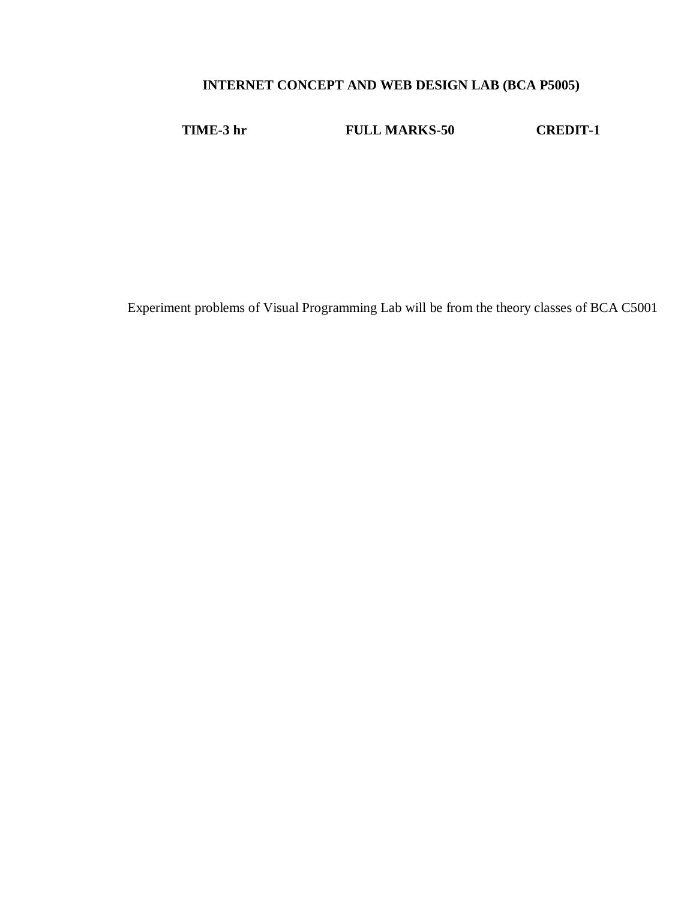## **INTERNET CONCEPT AND WEB DESIGN LAB (BCA P5005)**

**TIME-3 hr FULL MARKS-50 CREDIT-1**

Experiment problems of Visual Programming Lab will be from the theory classes of BCA C5001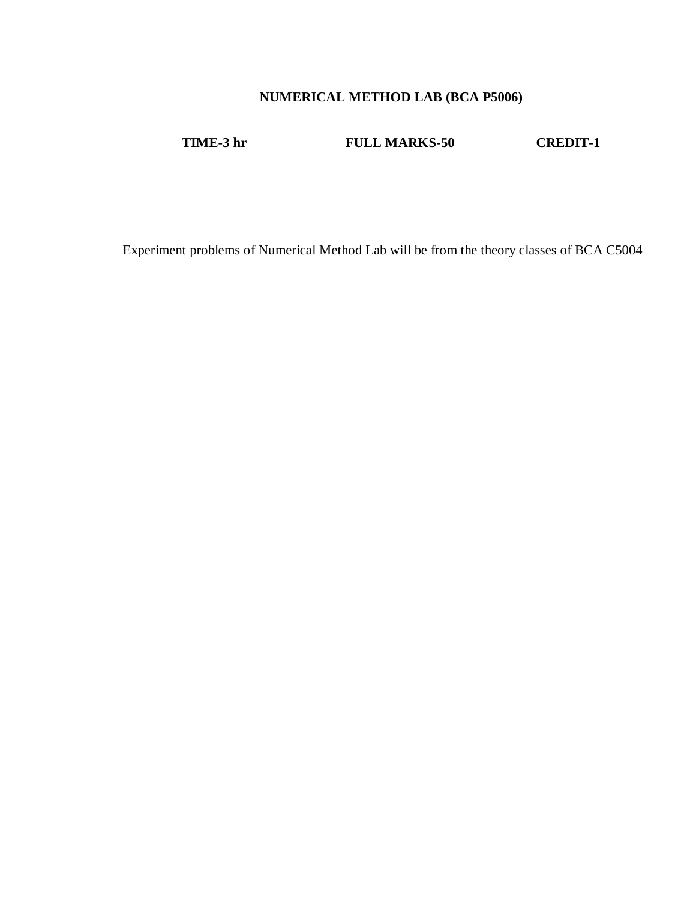## **NUMERICAL METHOD LAB (BCA P5006)**

**TIME-3 hr FULL MARKS-50 CREDIT-1**

Experiment problems of Numerical Method Lab will be from the theory classes of BCA C5004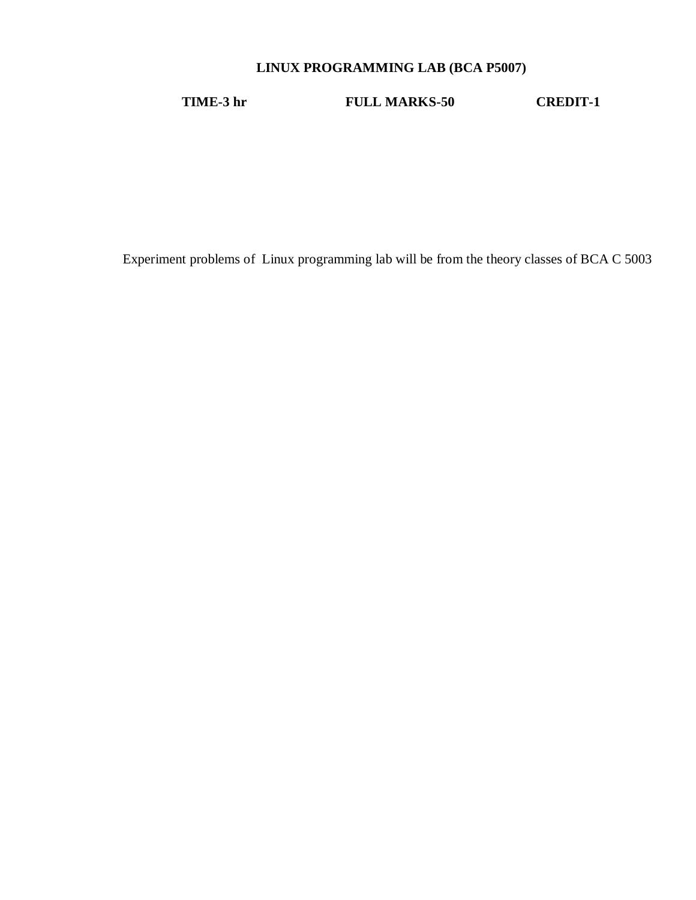## **LINUX PROGRAMMING LAB (BCA P5007)**

**TIME-3 hr FULL MARKS-50 CREDIT-1**

Experiment problems of Linux programming lab will be from the theory classes of BCA C 5003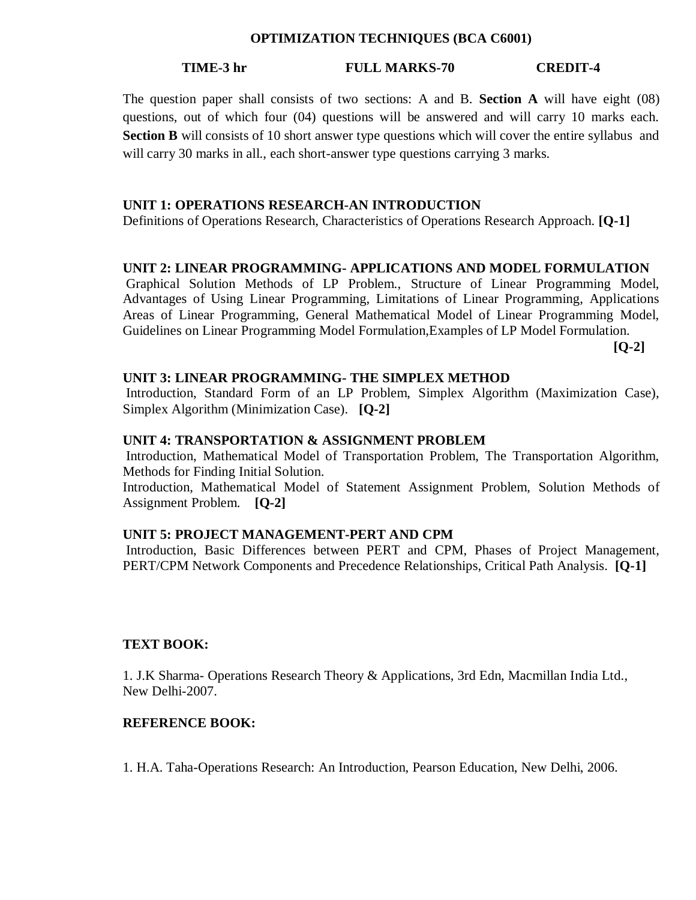#### **OPTIMIZATION TECHNIQUES (BCA C6001)**

#### **TIME-3 hr FULL MARKS-70 CREDIT-4**

The question paper shall consists of two sections: A and B. **Section A** will have eight (08) questions, out of which four (04) questions will be answered and will carry 10 marks each. **Section B** will consists of 10 short answer type questions which will cover the entire syllabus and will carry 30 marks in all., each short-answer type questions carrying 3 marks.

#### **UNIT 1: OPERATIONS RESEARCH-AN INTRODUCTION**

Definitions of Operations Research, Characteristics of Operations Research Approach. **[Q-1]**

#### **UNIT 2: LINEAR PROGRAMMING- APPLICATIONS AND MODEL FORMULATION**

Graphical Solution Methods of LP Problem., Structure of Linear Programming Model, Advantages of Using Linear Programming, Limitations of Linear Programming, Applications Areas of Linear Programming, General Mathematical Model of Linear Programming Model, Guidelines on Linear Programming Model Formulation,Examples of LP Model Formulation.

**[Q-2]**

#### **UNIT 3: LINEAR PROGRAMMING- THE SIMPLEX METHOD**

Introduction, Standard Form of an LP Problem, Simplex Algorithm (Maximization Case), Simplex Algorithm (Minimization Case). **[Q-2]**

#### **UNIT 4: TRANSPORTATION & ASSIGNMENT PROBLEM**

Introduction, Mathematical Model of Transportation Problem, The Transportation Algorithm, Methods for Finding Initial Solution.

Introduction, Mathematical Model of Statement Assignment Problem, Solution Methods of Assignment Problem. **[Q-2]**

#### **UNIT 5: PROJECT MANAGEMENT-PERT AND CPM**

Introduction, Basic Differences between PERT and CPM, Phases of Project Management, PERT/CPM Network Components and Precedence Relationships, Critical Path Analysis. **[Q-1]**

#### **TEXT BOOK:**

1. J.K Sharma- Operations Research Theory & Applications, 3rd Edn, Macmillan India Ltd., New Delhi-2007.

#### **REFERENCE BOOK:**

1. H.A. Taha-Operations Research: An Introduction, Pearson Education, New Delhi, 2006.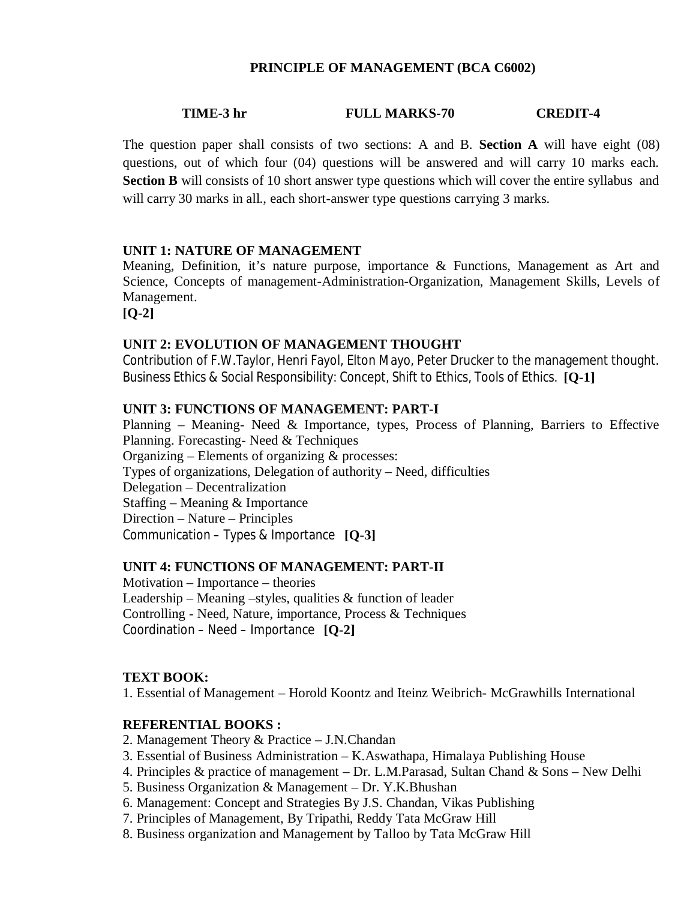#### **PRINCIPLE OF MANAGEMENT (BCA C6002)**

#### **TIME-3 hr FULL MARKS-70 CREDIT-4**

The question paper shall consists of two sections: A and B. **Section A** will have eight (08) questions, out of which four (04) questions will be answered and will carry 10 marks each. **Section B** will consists of 10 short answer type questions which will cover the entire syllabus and will carry 30 marks in all., each short-answer type questions carrying 3 marks.

#### **UNIT 1: NATURE OF MANAGEMENT**

Meaning, Definition, it's nature purpose, importance & Functions, Management as Art and Science, Concepts of management-Administration-Organization, Management Skills, Levels of Management.

**[Q-2]**

## **UNIT 2: EVOLUTION OF MANAGEMENT THOUGHT**

Contribution of F.W.Taylor, Henri Fayol, Elton Mayo, Peter Drucker to the management thought. Business Ethics & Social Responsibility: Concept, Shift to Ethics, Tools of Ethics. **[Q-1]**

#### **UNIT 3: FUNCTIONS OF MANAGEMENT: PART-I**

Planning – Meaning- Need & Importance, types, Process of Planning, Barriers to Effective Planning. Forecasting- Need & Techniques Organizing – Elements of organizing  $&$  processes: Types of organizations, Delegation of authority – Need, difficulties Delegation – Decentralization Staffing – Meaning & Importance Direction – Nature – Principles Communication – Types & Importance **[Q-3]**

#### **UNIT 4: FUNCTIONS OF MANAGEMENT: PART-II**

Motivation – Importance – theories Leadership – Meaning –styles, qualities  $\&$  function of leader Controlling - Need, Nature, importance, Process & Techniques Coordination – Need – Importance **[Q-2]**

#### **TEXT BOOK:**

1. Essential of Management – Horold Koontz and Iteinz Weibrich- McGrawhills International

#### **REFERENTIAL BOOKS :**

- 2. Management Theory & Practice J.N.Chandan
- 3. Essential of Business Administration K.Aswathapa, Himalaya Publishing House
- 4. Principles & practice of management Dr. L.M.Parasad, Sultan Chand & Sons New Delhi
- 5. Business Organization & Management Dr. Y.K.Bhushan
- 6. Management: Concept and Strategies By J.S. Chandan, Vikas Publishing
- 7. Principles of Management, By Tripathi, Reddy Tata McGraw Hill
- 8. Business organization and Management by Talloo by Tata McGraw Hill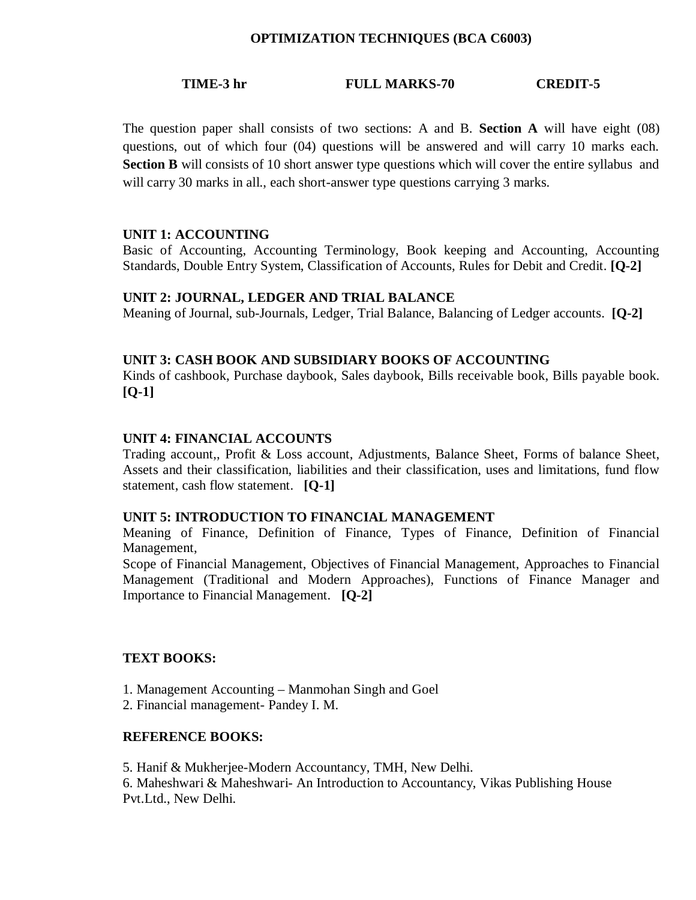#### **OPTIMIZATION TECHNIQUES (BCA C6003)**

#### **TIME-3 hr FULL MARKS-70 CREDIT-5**

The question paper shall consists of two sections: A and B. **Section A** will have eight (08) questions, out of which four (04) questions will be answered and will carry 10 marks each. **Section B** will consists of 10 short answer type questions which will cover the entire syllabus and will carry 30 marks in all., each short-answer type questions carrying 3 marks.

#### **UNIT 1: ACCOUNTING**

Basic of Accounting, Accounting Terminology, Book keeping and Accounting, Accounting Standards, Double Entry System, Classification of Accounts, Rules for Debit and Credit. **[Q-2]**

#### **UNIT 2: JOURNAL, LEDGER AND TRIAL BALANCE**

Meaning of Journal, sub-Journals, Ledger, Trial Balance, Balancing of Ledger accounts. **[Q-2]**

#### **UNIT 3: CASH BOOK AND SUBSIDIARY BOOKS OF ACCOUNTING**

Kinds of cashbook, Purchase daybook, Sales daybook, Bills receivable book, Bills payable book. **[Q-1]**

#### **UNIT 4: FINANCIAL ACCOUNTS**

Trading account,, Profit & Loss account, Adjustments, Balance Sheet, Forms of balance Sheet, Assets and their classification, liabilities and their classification, uses and limitations, fund flow statement, cash flow statement. **[Q-1]**

#### **UNIT 5: INTRODUCTION TO FINANCIAL MANAGEMENT**

Meaning of Finance, Definition of Finance, Types of Finance, Definition of Financial Management,

Scope of Financial Management, Objectives of Financial Management, Approaches to Financial Management (Traditional and Modern Approaches), Functions of Finance Manager and Importance to Financial Management. **[Q-2]**

#### **TEXT BOOKS:**

- 1. Management Accounting Manmohan Singh and Goel
- 2. Financial management- Pandey I. M.

#### **REFERENCE BOOKS:**

5. Hanif & Mukherjee-Modern Accountancy, TMH, New Delhi.

6. Maheshwari & Maheshwari- An Introduction to Accountancy, Vikas Publishing House Pvt.Ltd., New Delhi.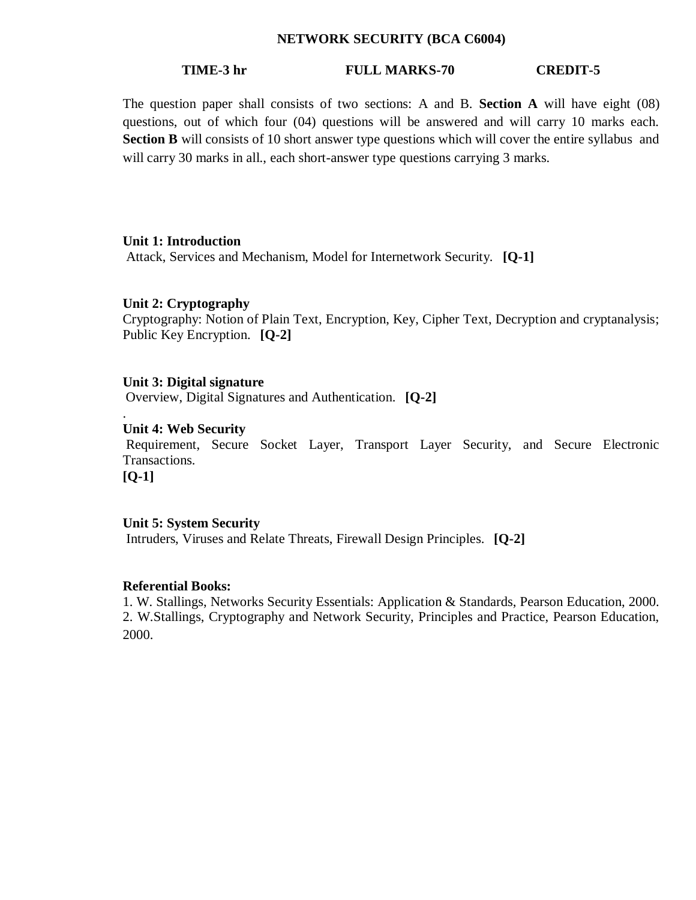#### **NETWORK SECURITY (BCA C6004)**

#### **TIME-3 hr FULL MARKS-70 CREDIT-5**

The question paper shall consists of two sections: A and B. **Section A** will have eight (08) questions, out of which four (04) questions will be answered and will carry 10 marks each. **Section B** will consists of 10 short answer type questions which will cover the entire syllabus and will carry 30 marks in all., each short-answer type questions carrying 3 marks.

#### **Unit 1: Introduction**

Attack, Services and Mechanism, Model for Internetwork Security. **[Q-1]**

#### **Unit 2: Cryptography**

Cryptography: Notion of Plain Text, Encryption, Key, Cipher Text, Decryption and cryptanalysis; Public Key Encryption. **[Q-2]**

#### **Unit 3: Digital signature**

Overview, Digital Signatures and Authentication. **[Q-2]**

#### **Unit 4: Web Security**

Requirement, Secure Socket Layer, Transport Layer Security, and Secure Electronic Transactions.

**[Q-1]**

.

#### **Unit 5: System Security**

Intruders, Viruses and Relate Threats, Firewall Design Principles. **[Q-2]**

#### **Referential Books:**

1. W. Stallings, Networks Security Essentials: Application & Standards, Pearson Education, 2000. 2. W.Stallings, Cryptography and Network Security, Principles and Practice, Pearson Education, 2000.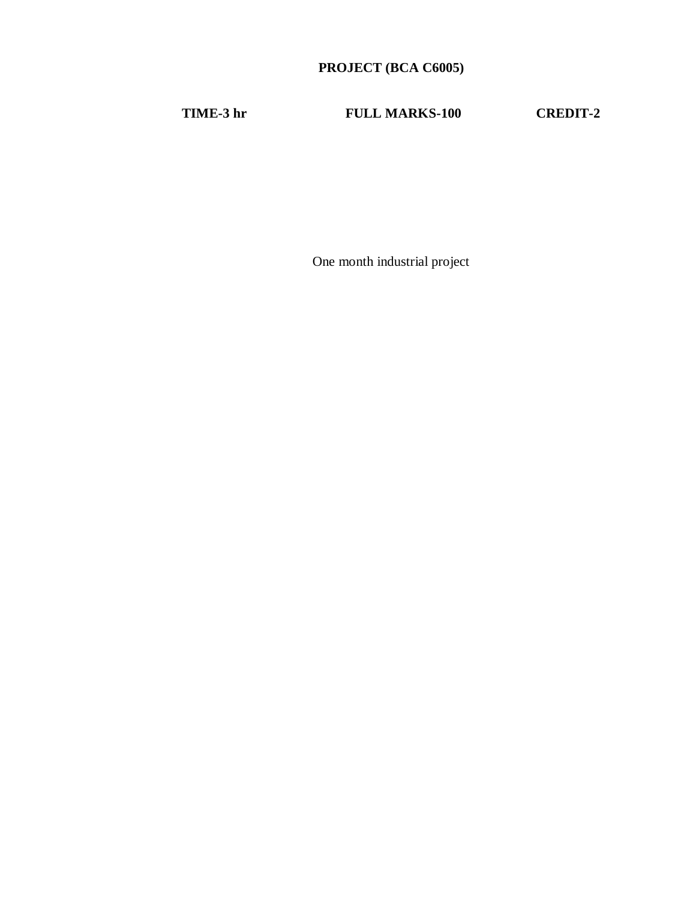## **PROJECT (BCA C6005)**

**TIME-3 hr FULL MARKS-100 CREDIT-2**

One month industrial project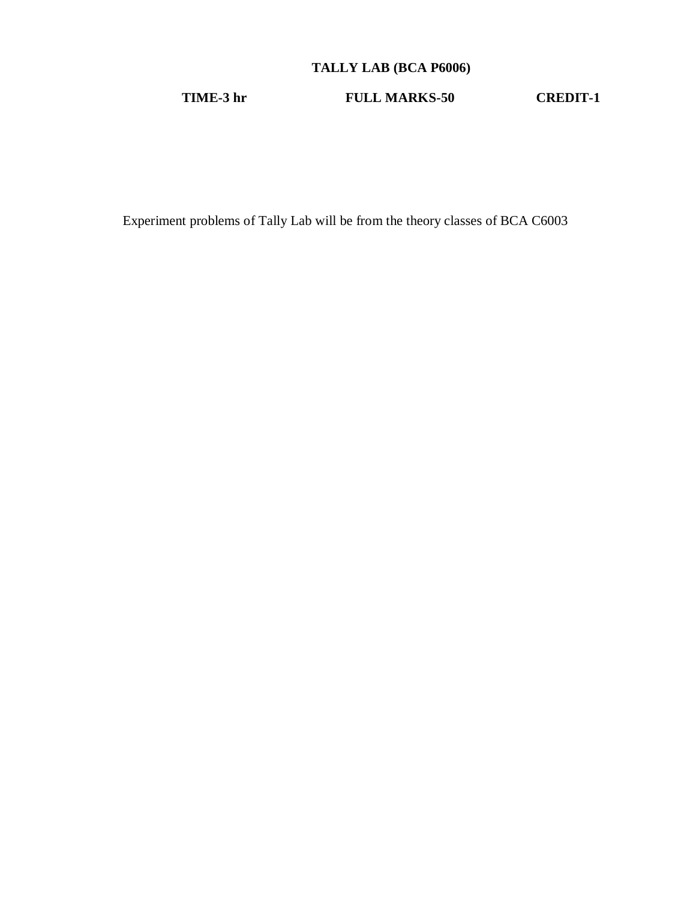## **TALLY LAB (BCA P6006)**

**TIME-3 hr FULL MARKS-50 CREDIT-1**

Experiment problems of Tally Lab will be from the theory classes of BCA C6003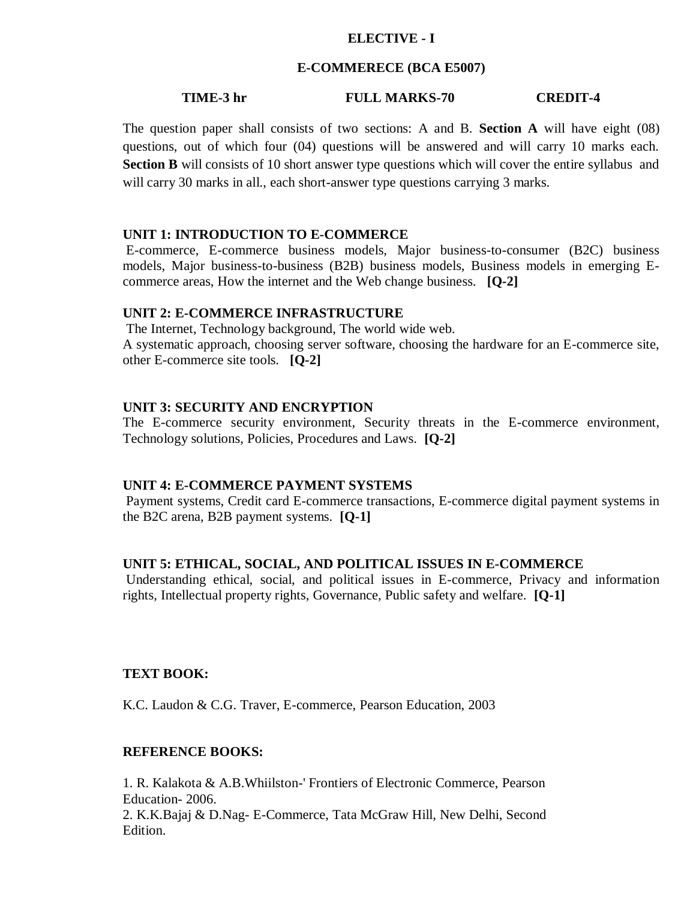#### **ELECTIVE - I**

#### **E-COMMERECE (BCA E5007)**

#### **TIME-3 hr FULL MARKS-70 CREDIT-4**

The question paper shall consists of two sections: A and B. **Section A** will have eight (08) questions, out of which four (04) questions will be answered and will carry 10 marks each. **Section B** will consists of 10 short answer type questions which will cover the entire syllabus and will carry 30 marks in all., each short-answer type questions carrying 3 marks.

#### **UNIT 1: INTRODUCTION TO E-COMMERCE**

E-commerce, E-commerce business models, Major business-to-consumer (B2C) business models, Major business-to-business (B2B) business models, Business models in emerging Ecommerce areas, How the internet and the Web change business. **[Q-2]**

#### **UNIT 2: E-COMMERCE INFRASTRUCTURE**

The Internet, Technology background, The world wide web. A systematic approach, choosing server software, choosing the hardware for an E-commerce site, other E-commerce site tools. **[Q-2]**

#### **UNIT 3: SECURITY AND ENCRYPTION**

The E-commerce security environment, Security threats in the E-commerce environment, Technology solutions, Policies, Procedures and Laws. **[Q-2]**

#### **UNIT 4: E-COMMERCE PAYMENT SYSTEMS**

Payment systems, Credit card E-commerce transactions, E-commerce digital payment systems in the B2C arena, B2B payment systems. **[Q-1]**

#### **UNIT 5: ETHICAL, SOCIAL, AND POLITICAL ISSUES IN E-COMMERCE**

Understanding ethical, social, and political issues in E-commerce, Privacy and information rights, Intellectual property rights, Governance, Public safety and welfare. **[Q-1]**

#### **TEXT BOOK:**

K.C. Laudon & C.G. Traver, E-commerce, Pearson Education, 2003

#### **REFERENCE BOOKS:**

1. R. Kalakota & A.B.Whiilston-' Frontiers of Electronic Commerce, Pearson Education- 2006. 2. K.K.Bajaj & D.Nag- E-Commerce, Tata McGraw Hill, New Delhi, Second Edition.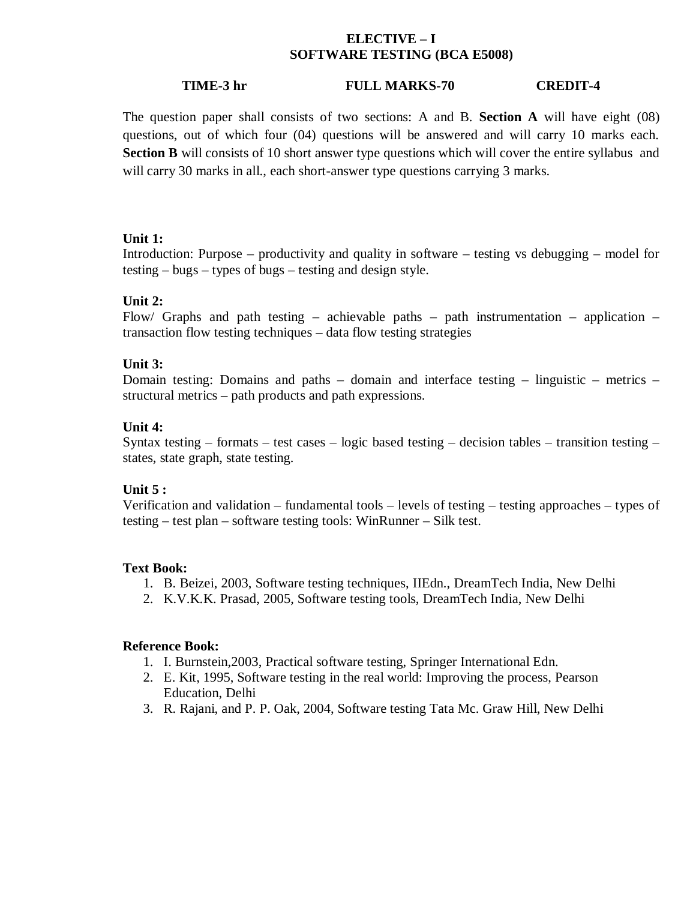#### **ELECTIVE – I SOFTWARE TESTING (BCA E5008)**

#### **TIME-3 hr FULL MARKS-70 CREDIT-4**

The question paper shall consists of two sections: A and B. **Section A** will have eight (08) questions, out of which four (04) questions will be answered and will carry 10 marks each. **Section B** will consists of 10 short answer type questions which will cover the entire syllabus and will carry 30 marks in all., each short-answer type questions carrying 3 marks.

#### **Unit 1:**

Introduction: Purpose – productivity and quality in software – testing vs debugging – model for testing – bugs – types of bugs – testing and design style.

#### **Unit 2:**

Flow/ Graphs and path testing – achievable paths – path instrumentation – application – transaction flow testing techniques – data flow testing strategies

#### **Unit 3:**

Domain testing: Domains and paths – domain and interface testing – linguistic – metrics – structural metrics – path products and path expressions.

#### **Unit 4:**

Syntax testing – formats – test cases – logic based testing – decision tables – transition testing – states, state graph, state testing.

#### **Unit 5 :**

Verification and validation – fundamental tools – levels of testing – testing approaches – types of testing – test plan – software testing tools: WinRunner – Silk test.

#### **Text Book:**

- 1. B. Beizei, 2003, Software testing techniques, IIEdn., DreamTech India, New Delhi
- 2. K.V.K.K. Prasad, 2005, Software testing tools, DreamTech India, New Delhi

#### **Reference Book:**

- 1. I. Burnstein,2003, Practical software testing, Springer International Edn.
- 2. E. Kit, 1995, Software testing in the real world: Improving the process, Pearson Education, Delhi
- 3. R. Rajani, and P. P. Oak, 2004, Software testing Tata Mc. Graw Hill, New Delhi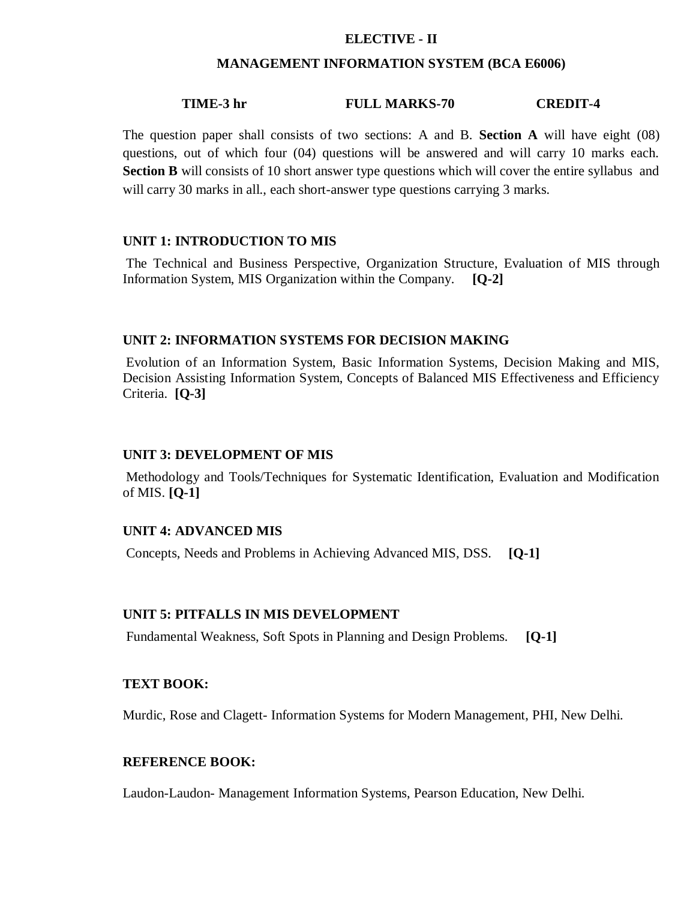#### **ELECTIVE - II**

#### **MANAGEMENT INFORMATION SYSTEM (BCA E6006)**

#### **TIME-3 hr FULL MARKS-70 CREDIT-4**

The question paper shall consists of two sections: A and B. **Section A** will have eight (08) questions, out of which four (04) questions will be answered and will carry 10 marks each. **Section B** will consists of 10 short answer type questions which will cover the entire syllabus and will carry 30 marks in all., each short-answer type questions carrying 3 marks.

#### **UNIT 1: INTRODUCTION TO MIS**

The Technical and Business Perspective, Organization Structure, Evaluation of MIS through Information System, MIS Organization within the Company. **[Q-2]**

#### **UNIT 2: INFORMATION SYSTEMS FOR DECISION MAKING**

Evolution of an Information System, Basic Information Systems, Decision Making and MIS, Decision Assisting Information System, Concepts of Balanced MIS Effectiveness and Efficiency Criteria. **[Q-3]**

#### **UNIT 3: DEVELOPMENT OF MIS**

Methodology and Tools/Techniques for Systematic Identification, Evaluation and Modification of MIS. **[Q-1]**

#### **UNIT 4: ADVANCED MIS**

Concepts, Needs and Problems in Achieving Advanced MIS, DSS. **[Q-1]**

#### **UNIT 5: PITFALLS IN MIS DEVELOPMENT**

Fundamental Weakness, Soft Spots in Planning and Design Problems. **[Q-1]**

#### **TEXT BOOK:**

Murdic, Rose and Clagett- Information Systems for Modern Management, PHI, New Delhi.

#### **REFERENCE BOOK:**

Laudon-Laudon- Management Information Systems, Pearson Education, New Delhi.